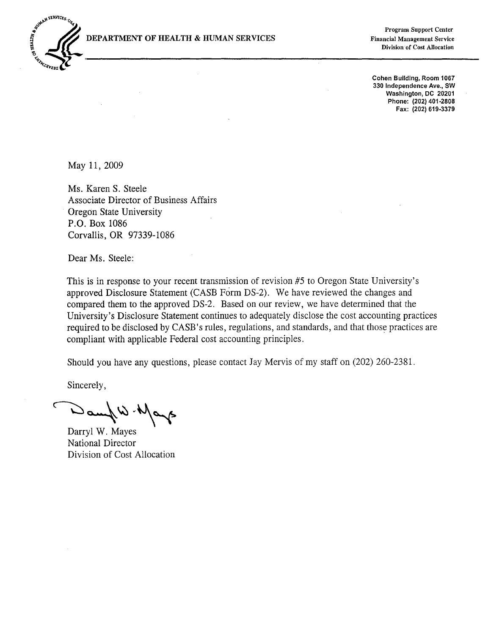DEPARTMENT OF HEALTH & HUMAN SERVICES



**Program Support Center Financial Management Service** Division of Cost Allocation

Cohen Building, Room 1067 330 Independence Ave., SW Washington, DC 20201 Phone: (202) 401-2808 Fax: (202) 619-3379

May 11, 2009

Ms. Karen S. Steele Associate Director of Business Affairs Oregon State University P.O. Box 1086 Corvallis, OR 97339-1086

Dear Ms. Steele:

This is in response to your recent transmission of revision #5 to Oregon State University's approved Disclosure Statement (CASB Form DS-2). We have reviewed the changes and compared them to the approved DS-2. Based on our review, we have determined that the University's Disclosure Statement continues to adequately disclose the cost accounting practices required to be disclosed by CASB's rules, regulations, and standards, and that those practices are compliant with applicable Federal cost accounting principles.

Should you have any questions, please contact Jay Mervis of my staff on (202) 260-2381.

Sincerely,

mund is Mayo

Darryl W. Mayes National Director Division of Cost Allocation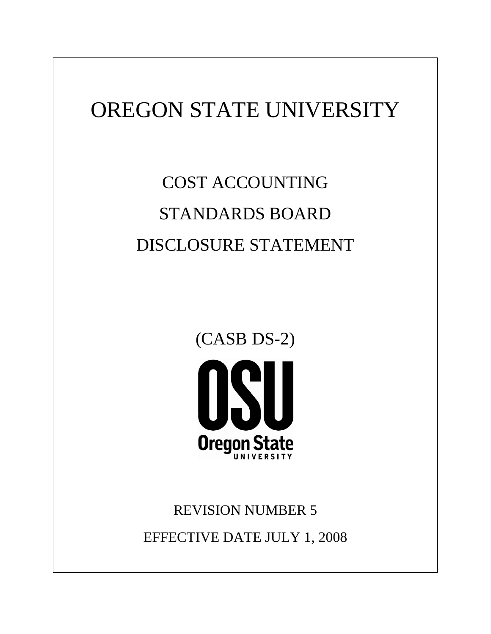# OREGON STATE UNIVERSITY

# COST ACCOUNTING STANDARDS BOARD DISCLOSURE STATEMENT



# REVISION NUMBER 5 EFFECTIVE DATE JULY 1, 2008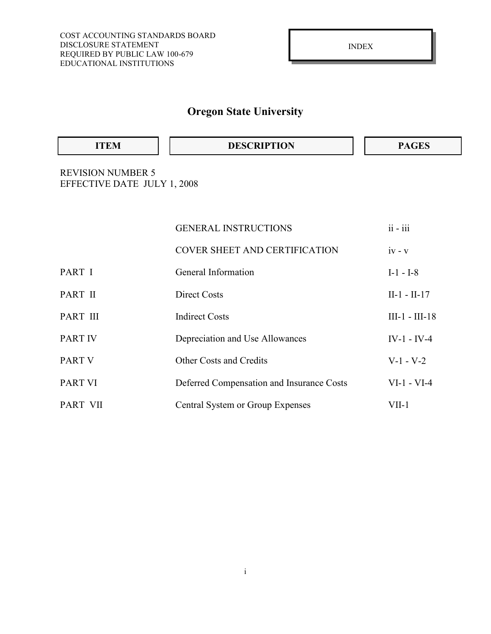| <b>ITEM</b> | <b>DESCRIPTION</b> | CFS |
|-------------|--------------------|-----|
|-------------|--------------------|-----|

REVISION NUMBER 5 EFFECTIVE DATE JULY 1, 2008

|                 | <b>GENERAL INSTRUCTIONS</b>               | $ii - iii$       |
|-----------------|-------------------------------------------|------------------|
|                 | <b>COVER SHEET AND CERTIFICATION</b>      | $iv - v$         |
| PART I          | General Information                       | $I-1 - I-8$      |
| PART II         | <b>Direct Costs</b>                       | $II-1 - II-17$   |
| PART III        | <b>Indirect Costs</b>                     | $III-1 - III-18$ |
| <b>PART IV</b>  | Depreciation and Use Allowances           | $IV-1$ - $IV-4$  |
| <b>PART V</b>   | <b>Other Costs and Credits</b>            | $V-1 - V-2$      |
| <b>PART VI</b>  | Deferred Compensation and Insurance Costs | $VI-1 - VI-4$    |
| <b>PART VII</b> | Central System or Group Expenses          | $VII-1$          |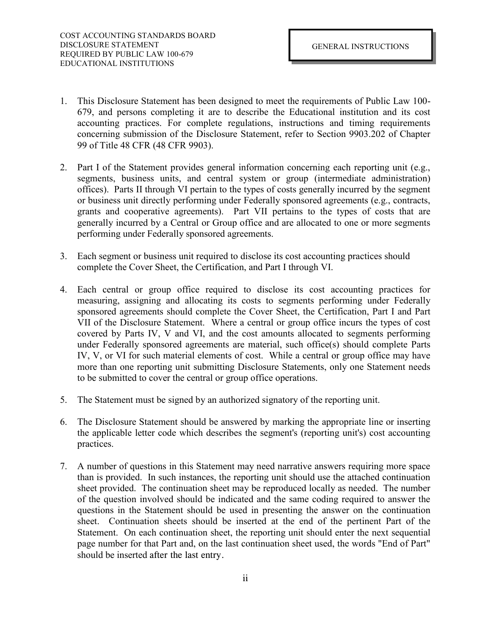- 1. This Disclosure Statement has been designed to meet the requirements of Public Law 100- 679, and persons completing it are to describe the Educational institution and its cost accounting practices. For complete regulations, instructions and timing requirements concerning submission of the Disclosure Statement, refer to Section 9903.202 of Chapter 99 of Title 48 CFR (48 CFR 9903).
- 2. Part I of the Statement provides general information concerning each reporting unit (e.g., segments, business units, and central system or group (intermediate administration) offices). Parts II through VI pertain to the types of costs generally incurred by the segment or business unit directly performing under Federally sponsored agreements (e.g., contracts, grants and cooperative agreements). Part VII pertains to the types of costs that are generally incurred by a Central or Group office and are allocated to one or more segments performing under Federally sponsored agreements.
- 3. Each segment or business unit required to disclose its cost accounting practices should complete the Cover Sheet, the Certification, and Part I through VI.
- 4. Each central or group office required to disclose its cost accounting practices for measuring, assigning and allocating its costs to segments performing under Federally sponsored agreements should complete the Cover Sheet, the Certification, Part I and Part VII of the Disclosure Statement. Where a central or group office incurs the types of cost covered by Parts IV, V and VI, and the cost amounts allocated to segments performing under Federally sponsored agreements are material, such office(s) should complete Parts IV, V, or VI for such material elements of cost. While a central or group office may have more than one reporting unit submitting Disclosure Statements, only one Statement needs to be submitted to cover the central or group office operations.
- 5. The Statement must be signed by an authorized signatory of the reporting unit.
- 6. The Disclosure Statement should be answered by marking the appropriate line or inserting the applicable letter code which describes the segment's (reporting unit's) cost accounting practices.
- 7. A number of questions in this Statement may need narrative answers requiring more space than is provided. In such instances, the reporting unit should use the attached continuation sheet provided. The continuation sheet may be reproduced locally as needed. The number of the question involved should be indicated and the same coding required to answer the questions in the Statement should be used in presenting the answer on the continuation sheet. Continuation sheets should be inserted at the end of the pertinent Part of the Statement. On each continuation sheet, the reporting unit should enter the next sequential page number for that Part and, on the last continuation sheet used, the words "End of Part" should be inserted after the last entry.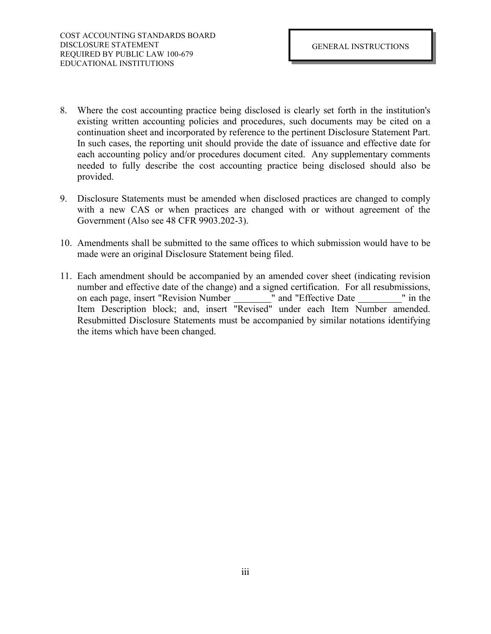- 8. Where the cost accounting practice being disclosed is clearly set forth in the institution's existing written accounting policies and procedures, such documents may be cited on a continuation sheet and incorporated by reference to the pertinent Disclosure Statement Part. In such cases, the reporting unit should provide the date of issuance and effective date for each accounting policy and/or procedures document cited. Any supplementary comments needed to fully describe the cost accounting practice being disclosed should also be provided.
- 9. Disclosure Statements must be amended when disclosed practices are changed to comply with a new CAS or when practices are changed with or without agreement of the Government (Also see 48 CFR 9903.202-3).
- 10. Amendments shall be submitted to the same offices to which submission would have to be made were an original Disclosure Statement being filed.
- 11. Each amendment should be accompanied by an amended cover sheet (indicating revision number and effective date of the change) and a signed certification. For all resubmissions, on each page, insert "Revision Number \_\_\_\_\_\_\_\_\_" and "Effective Date \_\_\_\_\_\_\_\_\_\_" in the Item Description block; and, insert "Revised" under each Item Number amended. Resubmitted Disclosure Statements must be accompanied by similar notations identifying the items which have been changed.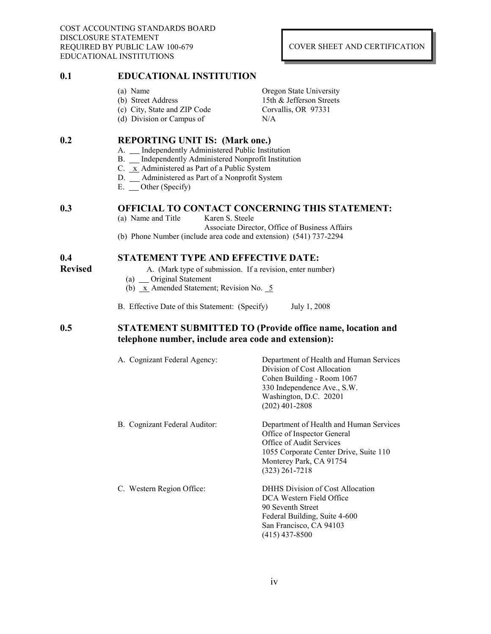COST ACCOUNTING STANDARDS BOARD DISCLOSURE STATEMENT REQUIRED BY PUBLIC LAW 100-679 EDUCATIONAL INSTITUTIONS

### COVER SHEET AND CERTIFICATION

### **0.1 EDUCATIONAL INSTITUTION**

- (a) Name Oregon State University
	-
- 
- (d) Division or Campus of N/A

(b) Street Address 15th & Jefferson Streets (c) City, State and ZIP Code Corvallis, OR 97331

### **0.2 REPORTING UNIT IS: (Mark one.)**

- A. \_\_ Independently Administered Public Institution
- B. \_\_ Independently Administered Nonprofit Institution
- C. x Administered as Part of a Public System
- D. Administered as Part of a Nonprofit System
- E. Other (Specify)

# **0.3 OFFICIAL TO CONTACT CONCERNING THIS STATEMENT:**<br>(a) Name and Title **Karen S. Steele**

- (a) Name and Title
	- Associate Director, Office of Business Affairs
- (b) Phone Number (include area code and extension) (541) 737-2294

## **0.4 STATEMENT TYPE AND EFFECTIVE DATE:**

- 
- **Revised** A. (Mark type of submission. If a revision, enter number)
	- (a) Original Statement
	- (b)  $x$  Amended Statement; Revision No.  $5$
	- B. Effective Date of this Statement: (Specify) July 1, 2008

### **0.5 STATEMENT SUBMITTED TO (Provide office name, location and telephone number, include area code and extension):**

| A. Cognizant Federal Agency:  | Department of Health and Human Services<br>Division of Cost Allocation<br>Cohen Building - Room 1067<br>330 Independence Ave., S.W.<br>Washington, D.C. 20201<br>$(202)$ 401-2808           |
|-------------------------------|---------------------------------------------------------------------------------------------------------------------------------------------------------------------------------------------|
| B. Cognizant Federal Auditor: | Department of Health and Human Services<br>Office of Inspector General<br>Office of Audit Services<br>1055 Corporate Center Drive, Suite 110<br>Monterey Park, CA 91754<br>$(323)$ 261-7218 |
| C. Western Region Office:     | <b>DHHS Division of Cost Allocation</b><br>DCA Western Field Office<br>90 Seventh Street<br>Federal Building, Suite 4-600<br>San Francisco, CA 94103<br>(415) 437-8500                      |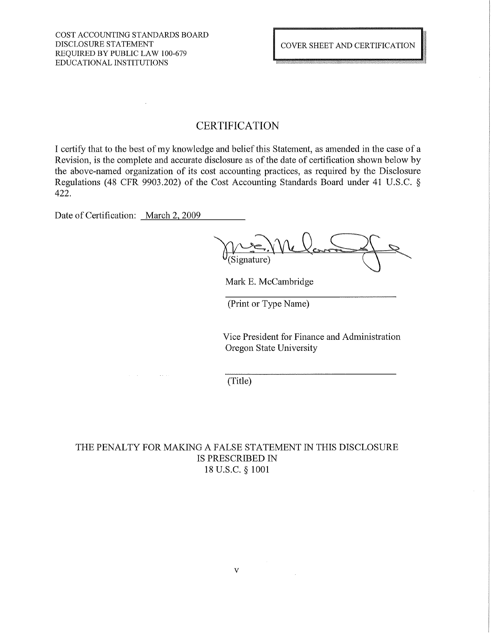# **CERTIFICATION**

I certify that to the best of my knowledge and belief this Statement, as amended in the case of a Revision, is the complete and accurate disclosure as of the date of certification shown below by the above-named organization of its cost accounting practices, as required by the Disclosure Regulations (48 CFR 9903.202) of the Cost Accounting Standards Board under 41 U.S.C. § 422.

Date of Certification: March 2, 2009

Mark E. McCambridge

(Print or Type Name)

Vice President for Finance and Administration Oregon State University

(Title)

THE PENALTY FOR MAKING A FALSE STATEMENT IN THIS DISCLOSURE IS PRESCRIBED IN 18 U.S.C. § 1001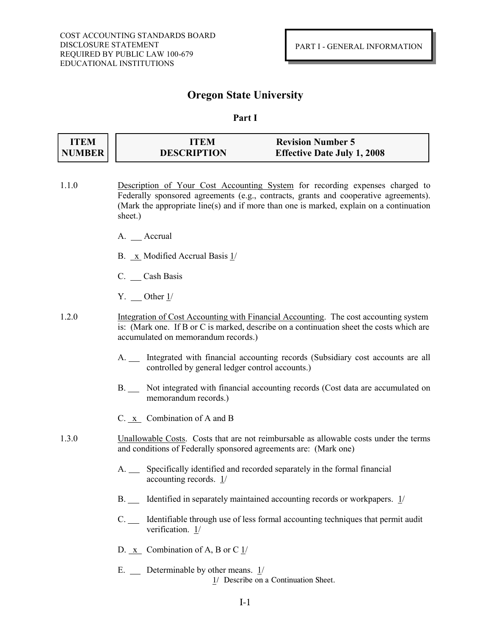### **Part I**

| <b>ITEM</b>   | <b>ITEM</b>        | <b>Revision Number 5</b>           |
|---------------|--------------------|------------------------------------|
| <b>NUMBER</b> | <b>DESCRIPTION</b> | <b>Effective Date July 1, 2008</b> |

- 1.1.0 Description of Your Cost Accounting System for recording expenses charged to Federally sponsored agreements (e.g., contracts, grants and cooperative agreements). (Mark the appropriate line(s) and if more than one is marked, explain on a continuation sheet.)
	- A. Accrual
	- B.  $\overline{X}$  Modified Accrual Basis  $\frac{1}{2}$
	- C. Cash Basis
	- $Y.$  Other  $1/$
- 1.2.0 Integration of Cost Accounting with Financial Accounting. The cost accounting system is: (Mark one. If B or C is marked, describe on a continuation sheet the costs which are accumulated on memorandum records.)
	- A. Integrated with financial accounting records (Subsidiary cost accounts are all controlled by general ledger control accounts.)
	- B. Not integrated with financial accounting records (Cost data are accumulated on memorandum records.)
	- C. x Combination of A and B
- 1.3.0 Unallowable Costs. Costs that are not reimbursable as allowable costs under the terms and conditions of Federally sponsored agreements are: (Mark one)
	- A. Specifically identified and recorded separately in the formal financial accounting records. 1/
	- B. Identified in separately maintained accounting records or workpapers. 1/
	- C. Solution-left identifiable through use of less formal accounting techniques that permit audit verification. 1/
	- D. x Combination of A, B or C 1/
	- E. Determinable by other means. 1/ 1/ Describe on a Continuation Sheet.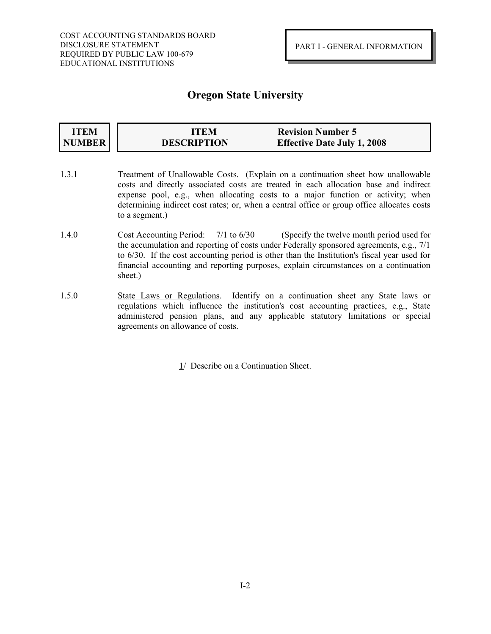#### **ITEM NUMBER ITEM Revision Number 5 DESCRIPTION Effective Date July 1, 2008**

- 1.3.1 Treatment of Unallowable Costs. (Explain on a continuation sheet how unallowable costs and directly associated costs are treated in each allocation base and indirect expense pool, e.g., when allocating costs to a major function or activity; when determining indirect cost rates; or, when a central office or group office allocates costs to a segment.)
- 1.4.0 Cost Accounting Period: 7/1 to 6/30 (Specify the twelve month period used for the accumulation and reporting of costs under Federally sponsored agreements, e.g., 7/1 to 6/30. If the cost accounting period is other than the Institution's fiscal year used for financial accounting and reporting purposes, explain circumstances on a continuation sheet.)
- 1.5.0 State Laws or Regulations. Identify on a continuation sheet any State laws or regulations which influence the institution's cost accounting practices, e.g., State administered pension plans, and any applicable statutory limitations or special agreements on allowance of costs.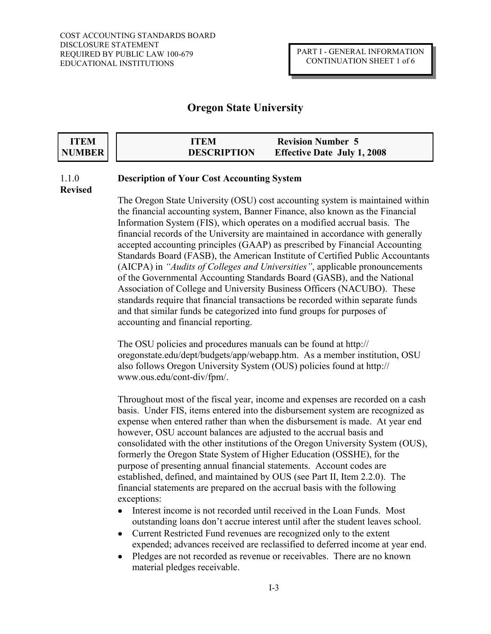| ITEM   | <b>ITEM</b>        | <b>Revision Number 5</b>           |
|--------|--------------------|------------------------------------|
| NUMBER | <b>DESCRIPTION</b> | <b>Effective Date July 1, 2008</b> |

## 1.1.0 **Description of Your Cost Accounting System**

**Revised**

The Oregon State University (OSU) cost accounting system is maintained within the financial accounting system, Banner Finance, also known as the Financial Information System (FIS), which operates on a modified accrual basis. The financial records of the University are maintained in accordance with generally accepted accounting principles (GAAP) as prescribed by Financial Accounting Standards Board (FASB), the American Institute of Certified Public Accountants (AICPA) in *"Audits of Colleges and Universities"*, applicable pronouncements of the Governmental Accounting Standards Board (GASB), and the National Association of College and University Business Officers (NACUBO). These standards require that financial transactions be recorded within separate funds and that similar funds be categorized into fund groups for purposes of accounting and financial reporting.

The OSU policies and procedures manuals can be found at http:// oregonstate.edu/dept/budgets/app/webapp.htm. As a member institution, OSU also follows Oregon University System (OUS) policies found at http:// www.ous.edu/cont-div/fpm/.

Throughout most of the fiscal year, income and expenses are recorded on a cash basis. Under FIS, items entered into the disbursement system are recognized as expense when entered rather than when the disbursement is made. At year end however, OSU account balances are adjusted to the accrual basis and consolidated with the other institutions of the Oregon University System (OUS), formerly the Oregon State System of Higher Education (OSSHE), for the purpose of presenting annual financial statements. Account codes are established, defined, and maintained by OUS (see Part II, Item 2.2.0). The financial statements are prepared on the accrual basis with the following exceptions:

- Interest income is not recorded until received in the Loan Funds. Most outstanding loans don't accrue interest until after the student leaves school.
- Current Restricted Fund revenues are recognized only to the extent  $\bullet$ expended; advances received are reclassified to deferred income at year end.
- Pledges are not recorded as revenue or receivables. There are no known  $\bullet$ material pledges receivable.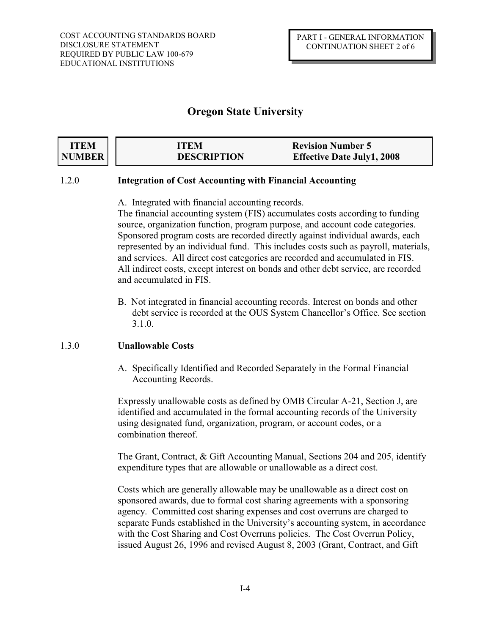| <b>ITEM</b> | ITEM               | <b>Revision Number 5</b>          |
|-------------|--------------------|-----------------------------------|
| NUMBER      | <b>DESCRIPTION</b> | <b>Effective Date July1, 2008</b> |

### 1.2.0 **Integration of Cost Accounting with Financial Accounting**

A. Integrated with financial accounting records.

The financial accounting system (FIS) accumulates costs according to funding source, organization function, program purpose, and account code categories. Sponsored program costs are recorded directly against individual awards, each represented by an individual fund. This includes costs such as payroll, materials, and services. All direct cost categories are recorded and accumulated in FIS. All indirect costs, except interest on bonds and other debt service, are recorded and accumulated in FIS.

B. Not integrated in financial accounting records. Interest on bonds and other debt service is recorded at the OUS System Chancellor's Office. See section 3.1.0.

## 1.3.0 **Unallowable Costs**

A. Specifically Identified and Recorded Separately in the Formal Financial Accounting Records.

Expressly unallowable costs as defined by OMB Circular A-21, Section J, are identified and accumulated in the formal accounting records of the University using designated fund, organization, program, or account codes, or a combination thereof.

The Grant, Contract, & Gift Accounting Manual, Sections 204 and 205, identify expenditure types that are allowable or unallowable as a direct cost.

Costs which are generally allowable may be unallowable as a direct cost on sponsored awards, due to formal cost sharing agreements with a sponsoring agency. Committed cost sharing expenses and cost overruns are charged to separate Funds established in the University's accounting system, in accordance with the Cost Sharing and Cost Overruns policies. The Cost Overrun Policy, issued August 26, 1996 and revised August 8, 2003 (Grant, Contract, and Gift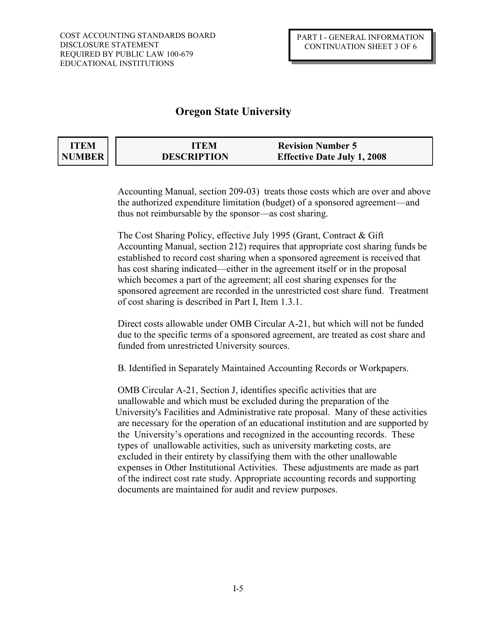| ITEM   | ITEM               | <b>Revision Number 5</b>           |
|--------|--------------------|------------------------------------|
| NUMBER | <b>DESCRIPTION</b> | <b>Effective Date July 1, 2008</b> |

Accounting Manual, section 209-03) treats those costs which are over and above the authorized expenditure limitation (budget) of a sponsored agreement—and thus not reimbursable by the sponsor—as cost sharing.

The Cost Sharing Policy, effective July 1995 (Grant, Contract & Gift Accounting Manual, section 212) requires that appropriate cost sharing funds be established to record cost sharing when a sponsored agreement is received that has cost sharing indicated—either in the agreement itself or in the proposal which becomes a part of the agreement; all cost sharing expenses for the sponsored agreement are recorded in the unrestricted cost share fund. Treatment of cost sharing is described in Part I, Item 1.3.1.

Direct costs allowable under OMB Circular A-21, but which will not be funded due to the specific terms of a sponsored agreement, are treated as cost share and funded from unrestricted University sources.

B. Identified in Separately Maintained Accounting Records or Workpapers.

OMB Circular A-21, Section J, identifies specific activities that are unallowable and which must be excluded during the preparation of the University's Facilities and Administrative rate proposal. Many of these activities are necessary for the operation of an educational institution and are supported by the University's operations and recognized in the accounting records. These types of unallowable activities, such as university marketing costs, are excluded in their entirety by classifying them with the other unallowable expenses in Other Institutional Activities. These adjustments are made as part of the indirect cost rate study. Appropriate accounting records and supporting documents are maintained for audit and review purposes.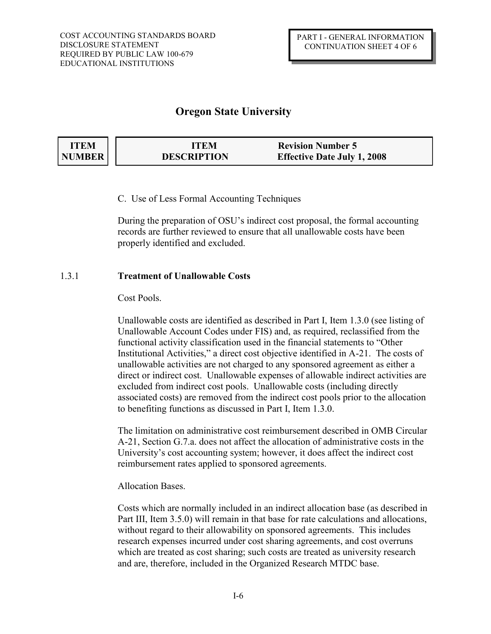| <b>ITEM</b> | ITEM               | <b>Revision Number 5</b>           |  |
|-------------|--------------------|------------------------------------|--|
| NUMBER      | <b>DESCRIPTION</b> | <b>Effective Date July 1, 2008</b> |  |

C. Use of Less Formal Accounting Techniques

During the preparation of OSU's indirect cost proposal, the formal accounting records are further reviewed to ensure that all unallowable costs have been properly identified and excluded.

### 1.3.1 **Treatment of Unallowable Costs**

### Cost Pools.

Unallowable costs are identified as described in Part I, Item 1.3.0 (see listing of Unallowable Account Codes under FIS) and, as required, reclassified from the functional activity classification used in the financial statements to "Other Institutional Activities," a direct cost objective identified in A-21. The costs of unallowable activities are not charged to any sponsored agreement as either a direct or indirect cost. Unallowable expenses of allowable indirect activities are excluded from indirect cost pools. Unallowable costs (including directly associated costs) are removed from the indirect cost pools prior to the allocation to benefiting functions as discussed in Part I, Item 1.3.0.

The limitation on administrative cost reimbursement described in OMB Circular A-21, Section G.7.a. does not affect the allocation of administrative costs in the University's cost accounting system; however, it does affect the indirect cost reimbursement rates applied to sponsored agreements.

### Allocation Bases.

Costs which are normally included in an indirect allocation base (as described in Part III, Item 3.5.0) will remain in that base for rate calculations and allocations, without regard to their allowability on sponsored agreements. This includes research expenses incurred under cost sharing agreements, and cost overruns which are treated as cost sharing; such costs are treated as university research and are, therefore, included in the Organized Research MTDC base.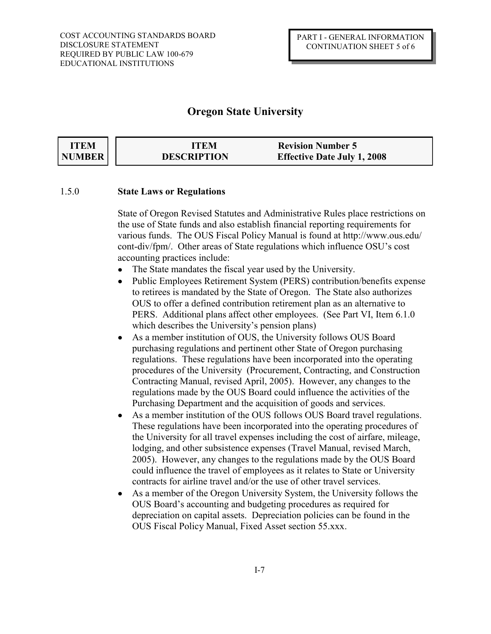| <b>ITEM</b>   | ITEM               | <b>Revision Number 5</b>           |  |
|---------------|--------------------|------------------------------------|--|
| <b>NUMBER</b> | <b>DESCRIPTION</b> | <b>Effective Date July 1, 2008</b> |  |

### 1.5.0 **State Laws or Regulations**

State of Oregon Revised Statutes and Administrative Rules place restrictions on the use of State funds and also establish financial reporting requirements for various funds. The OUS Fiscal Policy Manual is found at http://www.ous.edu/ cont-div/fpm/. Other areas of State regulations which influence OSU's cost accounting practices include:

- $\bullet$ The State mandates the fiscal year used by the University.
- Public Employees Retirement System (PERS) contribution/benefits expense to retirees is mandated by the State of Oregon. The State also authorizes OUS to offer a defined contribution retirement plan as an alternative to PERS. Additional plans affect other employees. (See Part VI, Item 6.1.0 which describes the University's pension plans)
- As a member institution of OUS, the University follows OUS Board  $\bullet$ purchasing regulations and pertinent other State of Oregon purchasing regulations. These regulations have been incorporated into the operating procedures of the University (Procurement, Contracting, and Construction Contracting Manual, revised April, 2005). However, any changes to the regulations made by the OUS Board could influence the activities of the Purchasing Department and the acquisition of goods and services.
- As a member institution of the OUS follows OUS Board travel regulations.  $\bullet$ These regulations have been incorporated into the operating procedures of the University for all travel expenses including the cost of airfare, mileage, lodging, and other subsistence expenses (Travel Manual, revised March, 2005). However, any changes to the regulations made by the OUS Board could influence the travel of employees as it relates to State or University contracts for airline travel and/or the use of other travel services.
- As a member of the Oregon University System, the University follows the  $\bullet$ OUS Board's accounting and budgeting procedures as required for depreciation on capital assets. Depreciation policies can be found in the OUS Fiscal Policy Manual, Fixed Asset section 55.xxx.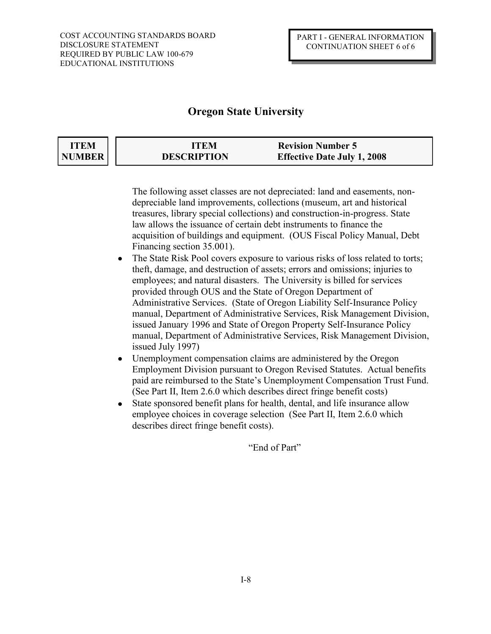| <b>ITEM</b> | ITEM               | <b>Revision Number 5</b>           |
|-------------|--------------------|------------------------------------|
| NUMBER      | <b>DESCRIPTION</b> | <b>Effective Date July 1, 2008</b> |

 The following asset classes are not depreciated: land and easements, non depreciable land improvements, collections (museum, art and historical treasures, library special collections) and construction-in-progress. State law allows the issuance of certain debt instruments to finance the acquisition of buildings and equipment. (OUS Fiscal Policy Manual, Debt Financing section 35.001).

- The State Risk Pool covers exposure to various risks of loss related to torts; theft, damage, and destruction of assets; errors and omissions; injuries to employees; and natural disasters. The University is billed for services provided through OUS and the State of Oregon Department of Administrative Services. (State of Oregon Liability Self-Insurance Policy manual, Department of Administrative Services, Risk Management Division, issued January 1996 and State of Oregon Property Self-Insurance Policy manual, Department of Administrative Services, Risk Management Division, issued July 1997)
- Unemployment compensation claims are administered by the Oregon  $\bullet$ Employment Division pursuant to Oregon Revised Statutes. Actual benefits paid are reimbursed to the State's Unemployment Compensation Trust Fund. (See Part II, Item 2.6.0 which describes direct fringe benefit costs)
- State sponsored benefit plans for health, dental, and life insurance allow employee choices in coverage selection (See Part II, Item 2.6.0 which describes direct fringe benefit costs).

"End of Part"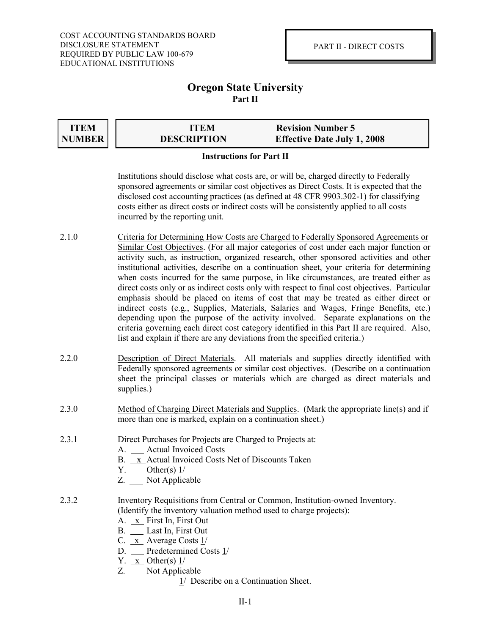### **Oregon State University Part II**

**ITEM NUMBER**

|                    | . |
|--------------------|---|
| <b>DESCRIPTION</b> |   |

**ITEM Revision Number 5 Effective Date July 1, 2008** 

### **Instructions for Part II**

Institutions should disclose what costs are, or will be, charged directly to Federally sponsored agreements or similar cost objectives as Direct Costs. It is expected that the disclosed cost accounting practices (as defined at 48 CFR 9903.302-1) for classifying costs either as direct costs or indirect costs will be consistently applied to all costs incurred by the reporting unit.

- 2.1.0 Criteria for Determining How Costs are Charged to Federally Sponsored Agreements or Similar Cost Objectives. (For all major categories of cost under each major function or activity such, as instruction, organized research, other sponsored activities and other institutional activities, describe on a continuation sheet, your criteria for determining when costs incurred for the same purpose, in like circumstances, are treated either as direct costs only or as indirect costs only with respect to final cost objectives. Particular emphasis should be placed on items of cost that may be treated as either direct or indirect costs (e.g., Supplies, Materials, Salaries and Wages, Fringe Benefits, etc.) depending upon the purpose of the activity involved. Separate explanations on the criteria governing each direct cost category identified in this Part II are required. Also, list and explain if there are any deviations from the specified criteria.)
- 2.2.0 Description of Direct Materials. All materials and supplies directly identified with Federally sponsored agreements or similar cost objectives. (Describe on a continuation sheet the principal classes or materials which are charged as direct materials and supplies.)
- 2.3.0 Method of Charging Direct Materials and Supplies. (Mark the appropriate line(s) and if more than one is marked, explain on a continuation sheet.)
- 2.3.1 Direct Purchases for Projects are Charged to Projects at:
	- A. Actual Invoiced Costs
	- B. x Actual Invoiced Costs Net of Discounts Taken
	- $Y.$  Other(s)  $1/$
	- Z. Not Applicable
- 2.3.2 Inventory Requisitions from Central or Common, Institution-owned Inventory. (Identify the inventory valuation method used to charge projects):
	- A. x First In, First Out
	- B. Last In, First Out
	- C.  $x$  Average Costs  $1/$
	- D. Predetermined Costs 1/
	- Y.  $x$  Other(s)  $1/$
	- Z. Not Applicable
		- 1/ Describe on a Continuation Sheet.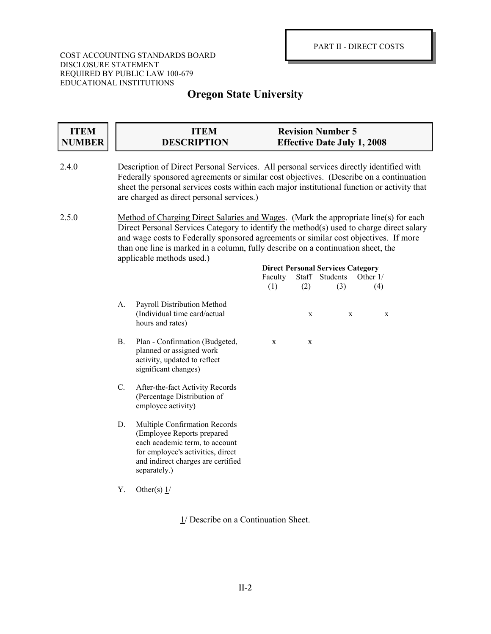### COST ACCOUNTING STANDARDS BOARD DISCLOSURE STATEMENT REQUIRED BY PUBLIC LAW 100-679 EDUCATIONAL INSTITUTIONS

# **Oregon State University**

| <b>ITEM</b><br><b>NUMBER</b> |                                                                                                                                                                                                                                                                                                                               | <b>ITEM</b><br><b>DESCRIPTION</b>                                                                                                                                                        |                                                                                                                                                                                                                                                                                                                                                              | <b>Revision Number 5</b> | <b>Effective Date July 1, 2008</b>              |                 |  |
|------------------------------|-------------------------------------------------------------------------------------------------------------------------------------------------------------------------------------------------------------------------------------------------------------------------------------------------------------------------------|------------------------------------------------------------------------------------------------------------------------------------------------------------------------------------------|--------------------------------------------------------------------------------------------------------------------------------------------------------------------------------------------------------------------------------------------------------------------------------------------------------------------------------------------------------------|--------------------------|-------------------------------------------------|-----------------|--|
| 2.4.0                        | Description of Direct Personal Services. All personal services directly identified with<br>Federally sponsored agreements or similar cost objectives. (Describe on a continuation<br>sheet the personal services costs within each major institutional function or activity that<br>are charged as direct personal services.) |                                                                                                                                                                                          |                                                                                                                                                                                                                                                                                                                                                              |                          |                                                 |                 |  |
| 2.5.0                        |                                                                                                                                                                                                                                                                                                                               | applicable methods used.)                                                                                                                                                                | Method of Charging Direct Salaries and Wages. (Mark the appropriate line(s) for each<br>Direct Personal Services Category to identify the method(s) used to charge direct salary<br>and wage costs to Federally sponsored agreements or similar cost objectives. If more<br>than one line is marked in a column, fully describe on a continuation sheet, the |                          |                                                 |                 |  |
|                              |                                                                                                                                                                                                                                                                                                                               |                                                                                                                                                                                          | Faculty<br>(1)                                                                                                                                                                                                                                                                                                                                               | Staff Students<br>(2)    | <b>Direct Personal Services Category</b><br>(3) | Other 1/<br>(4) |  |
|                              | A.                                                                                                                                                                                                                                                                                                                            | Payroll Distribution Method<br>(Individual time card/actual<br>hours and rates)                                                                                                          |                                                                                                                                                                                                                                                                                                                                                              | X                        | $\mathbf X$                                     | $\mathbf X$     |  |
|                              | <b>B.</b>                                                                                                                                                                                                                                                                                                                     | Plan - Confirmation (Budgeted,<br>planned or assigned work<br>activity, updated to reflect<br>significant changes)                                                                       | $\mathbf X$                                                                                                                                                                                                                                                                                                                                                  | $\mathbf X$              |                                                 |                 |  |
|                              | C.                                                                                                                                                                                                                                                                                                                            | After-the-fact Activity Records<br>(Percentage Distribution of<br>employee activity)                                                                                                     |                                                                                                                                                                                                                                                                                                                                                              |                          |                                                 |                 |  |
|                              | D.                                                                                                                                                                                                                                                                                                                            | Multiple Confirmation Records<br>(Employee Reports prepared<br>each academic term, to account<br>for employee's activities, direct<br>and indirect charges are certified<br>separately.) |                                                                                                                                                                                                                                                                                                                                                              |                          |                                                 |                 |  |
|                              | Υ.                                                                                                                                                                                                                                                                                                                            | Other(s) $1/$                                                                                                                                                                            |                                                                                                                                                                                                                                                                                                                                                              |                          |                                                 |                 |  |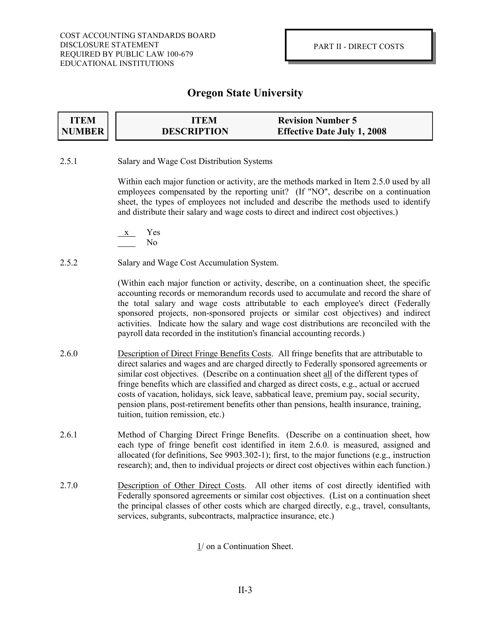| <b>ITEM</b> | ITEM               | <b>Revision Number 5</b>           |
|-------------|--------------------|------------------------------------|
| NUMBER      | <b>DESCRIPTION</b> | <b>Effective Date July 1, 2008</b> |

2.5.1 Salary and Wage Cost Distribution Systems

Within each major function or activity, are the methods marked in Item 2.5.0 used by all employees compensated by the reporting unit? (If "NO", describe on a continuation sheet, the types of employees not included and describe the methods used to identify and distribute their salary and wage costs to direct and indirect cost objectives.)

- x Yes No
- 2.5.2 Salary and Wage Cost Accumulation System.

(Within each major function or activity, describe, on a continuation sheet, the specific accounting records or memorandum records used to accumulate and record the share of the total salary and wage costs attributable to each employee's direct (Federally sponsored projects, non-sponsored projects or similar cost objectives) and indirect activities. Indicate how the salary and wage cost distributions are reconciled with the payroll data recorded in the institution's financial accounting records.)

- 2.6.0 Description of Direct Fringe Benefits Costs. All fringe benefits that are attributable to direct salaries and wages and are charged directly to Federally sponsored agreements or similar cost objectives. (Describe on a continuation sheet all of the different types of fringe benefits which are classified and charged as direct costs, e.g., actual or accrued costs of vacation, holidays, sick leave, sabbatical leave, premium pay, social security, pension plans, post-retirement benefits other than pensions, health insurance, training, tuition, tuition remission, etc.)
- 2.6.1 Method of Charging Direct Fringe Benefits. (Describe on a continuation sheet, how each type of fringe benefit cost identified in item 2.6.0. is measured, assigned and allocated (for definitions, See 9903.302-1); first, to the major functions (e.g., instruction research); and, then to individual projects or direct cost objectives within each function.)
- 2.7.0 Description of Other Direct Costs. All other items of cost directly identified with Federally sponsored agreements or similar cost objectives. (List on a continuation sheet the principal classes of other costs which are charged directly, e.g., travel, consultants, services, subgrants, subcontracts, malpractice insurance, etc.)

1/ on a Continuation Sheet.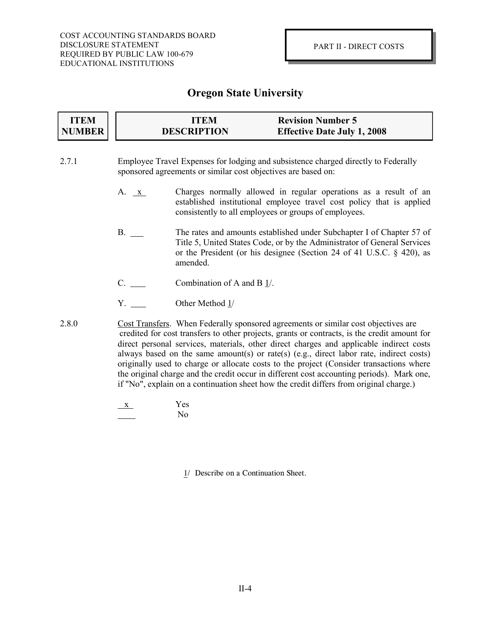| <b>ITEM</b> | ITEM               | <b>Revision Number 5</b>           |  |
|-------------|--------------------|------------------------------------|--|
| NUMBER      | <b>DESCRIPTION</b> | <b>Effective Date July 1, 2008</b> |  |

- 2.7.1 Employee Travel Expenses for lodging and subsistence charged directly to Federally sponsored agreements or similar cost objectives are based on:
	- A. <u>x</u> Charges normally allowed in regular operations as a result of an established institutional employee travel cost policy that is applied consistently to all employees or groups of employees.
	- B. The rates and amounts established under Subchapter I of Chapter 57 of Title 5, United States Code, or by the Administrator of General Services or the President (or his designee (Section 24 of 41 U.S.C. § 420), as amended.
	- C. Combination of A and B 1/.
	- Y. Other Method 1/
- 2.8.0 Cost Transfers. When Federally sponsored agreements or similar cost objectives are credited for cost transfers to other projects, grants or contracts, is the credit amount for direct personal services, materials, other direct charges and applicable indirect costs always based on the same amount(s) or rate(s) (e.g., direct labor rate, indirect costs) originally used to charge or allocate costs to the project (Consider transactions where the original charge and the credit occur in different cost accounting periods). Mark one, if "No", explain on a continuation sheet how the credit differs from original charge.)

$$
\frac{x}{\sqrt{1-x^2}} \qquad \qquad \text{Yes} \qquad \qquad \text{No}
$$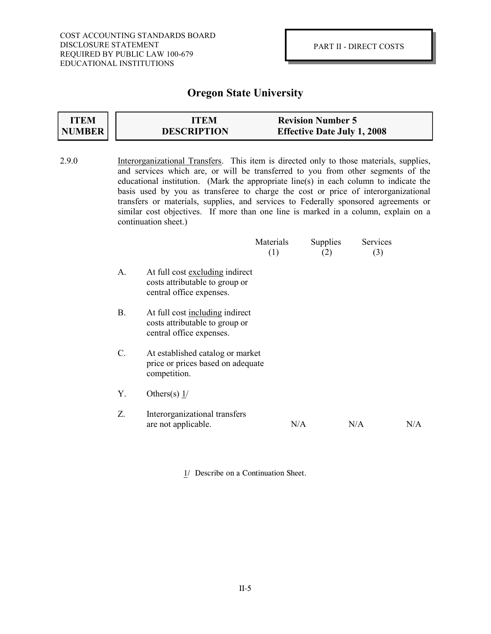#### **ITEM NUMBER ITEM Revision Number 5 DESCRIPTION Effective Date July 1, 2008**

- 2.9.0 Interorganizational Transfers. This item is directed only to those materials, supplies, and services which are, or will be transferred to you from other segments of the educational institution. (Mark the appropriate line(s) in each column to indicate the basis used by you as transferee to charge the cost or price of interorganizational transfers or materials, supplies, and services to Federally sponsored agreements or similar cost objectives. If more than one line is marked in a column, explain on a continuation sheet.) Materials Supplies Services (1)  $(2)$   $(3)$ A. At full cost excluding indirect costs attributable to group or central office expenses.
	- B. At full cost including indirect costs attributable to group or central office expenses.
	- C. At established catalog or market price or prices based on adequate competition.
	- Y. Others(s)  $1/$
	- Z. Interorganizational transfers are not applicable.  $N/A$  N/A  $N/A$  N/A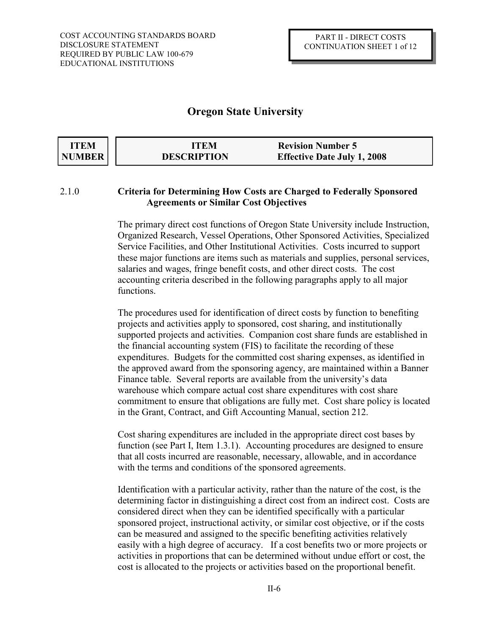| <b>ITEM</b>   | <b>ITEM</b>        | <b>Revision Number 5</b>           |
|---------------|--------------------|------------------------------------|
| <b>NUMBER</b> | <b>DESCRIPTION</b> | <b>Effective Date July 1, 2008</b> |

### 2.1.0 **Criteria for Determining How Costs are Charged to Federally Sponsored Agreements or Similar Cost Objectives**

The primary direct cost functions of Oregon State University include Instruction, Organized Research, Vessel Operations, Other Sponsored Activities, Specialized Service Facilities, and Other Institutional Activities. Costs incurred to support these major functions are items such as materials and supplies, personal services, salaries and wages, fringe benefit costs, and other direct costs. The cost accounting criteria described in the following paragraphs apply to all major functions.

The procedures used for identification of direct costs by function to benefiting projects and activities apply to sponsored, cost sharing, and institutionally supported projects and activities. Companion cost share funds are established in the financial accounting system (FIS) to facilitate the recording of these expenditures. Budgets for the committed cost sharing expenses, as identified in the approved award from the sponsoring agency, are maintained within a Banner Finance table. Several reports are available from the university's data warehouse which compare actual cost share expenditures with cost share commitment to ensure that obligations are fully met. Cost share policy is located in the Grant, Contract, and Gift Accounting Manual, section 212.

Cost sharing expenditures are included in the appropriate direct cost bases by function (see Part I, Item 1.3.1). Accounting procedures are designed to ensure that all costs incurred are reasonable, necessary, allowable, and in accordance with the terms and conditions of the sponsored agreements.

Identification with a particular activity, rather than the nature of the cost, is the determining factor in distinguishing a direct cost from an indirect cost. Costs are considered direct when they can be identified specifically with a particular sponsored project, instructional activity, or similar cost objective, or if the costs can be measured and assigned to the specific benefiting activities relatively easily with a high degree of accuracy. If a cost benefits two or more projects or activities in proportions that can be determined without undue effort or cost, the cost is allocated to the projects or activities based on the proportional benefit.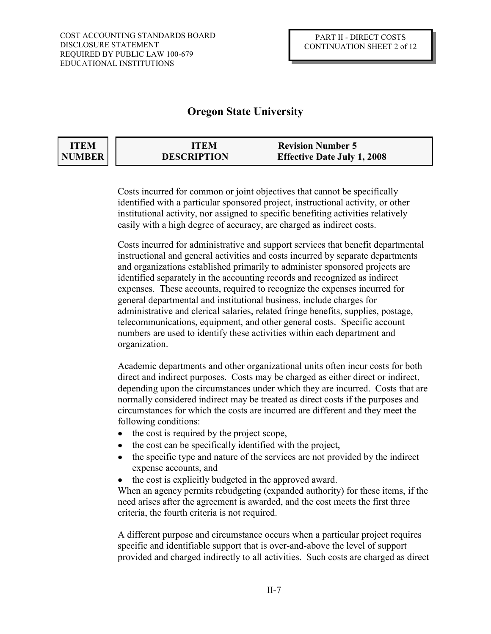| ITEM   | ITEM               | <b>Revision Number 5</b>           |
|--------|--------------------|------------------------------------|
| NUMBER | <b>DESCRIPTION</b> | <b>Effective Date July 1, 2008</b> |

Costs incurred for common or joint objectives that cannot be specifically identified with a particular sponsored project, instructional activity, or other institutional activity, nor assigned to specific benefiting activities relatively easily with a high degree of accuracy, are charged as indirect costs.

Costs incurred for administrative and support services that benefit departmental instructional and general activities and costs incurred by separate departments and organizations established primarily to administer sponsored projects are identified separately in the accounting records and recognized as indirect expenses. These accounts, required to recognize the expenses incurred for general departmental and institutional business, include charges for administrative and clerical salaries, related fringe benefits, supplies, postage, telecommunications, equipment, and other general costs. Specific account numbers are used to identify these activities within each department and organization.

Academic departments and other organizational units often incur costs for both direct and indirect purposes. Costs may be charged as either direct or indirect, depending upon the circumstances under which they are incurred. Costs that are normally considered indirect may be treated as direct costs if the purposes and circumstances for which the costs are incurred are different and they meet the following conditions:

- the cost is required by the project scope,  $\bullet$
- the cost can be specifically identified with the project,  $\bullet$
- the specific type and nature of the services are not provided by the indirect expense accounts, and
- the cost is explicitly budgeted in the approved award.

When an agency permits rebudgeting (expanded authority) for these items, if the need arises after the agreement is awarded, and the cost meets the first three criteria, the fourth criteria is not required.

A different purpose and circumstance occurs when a particular project requires specific and identifiable support that is over-and-above the level of support provided and charged indirectly to all activities. Such costs are charged as direct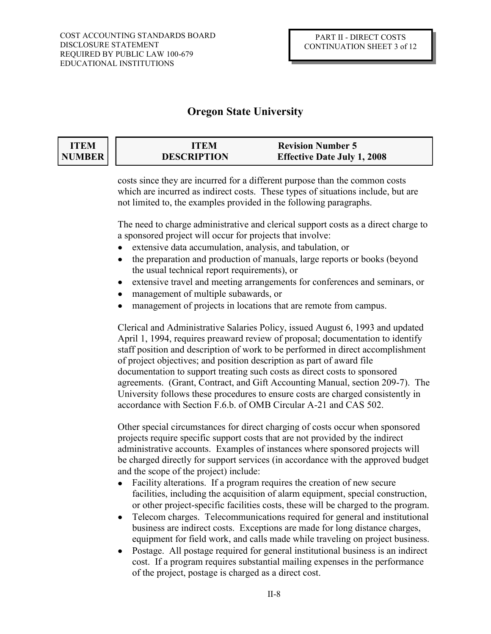### **ITEM NUMBER**

| <b>ITEM</b>        | <b>Revision Number 5</b>           |
|--------------------|------------------------------------|
| <b>DESCRIPTION</b> | <b>Effective Date July 1, 2008</b> |

costs since they are incurred for a different purpose than the common costs which are incurred as indirect costs. These types of situations include, but are not limited to, the examples provided in the following paragraphs.

The need to charge administrative and clerical support costs as a direct charge to a sponsored project will occur for projects that involve:

- extensive data accumulation, analysis, and tabulation, or
- the preparation and production of manuals, large reports or books (beyond  $\bullet$ the usual technical report requirements), or
- extensive travel and meeting arrangements for conferences and seminars, or
- management of multiple subawards, or
- management of projects in locations that are remote from campus.

Clerical and Administrative Salaries Policy, issued August 6, 1993 and updated April 1, 1994, requires preaward review of proposal; documentation to identify staff position and description of work to be performed in direct accomplishment of project objectives; and position description as part of award file documentation to support treating such costs as direct costs to sponsored agreements. (Grant, Contract, and Gift Accounting Manual, section 209-7). The University follows these procedures to ensure costs are charged consistently in accordance with Section F.6.b. of OMB Circular A-21 and CAS 502.

Other special circumstances for direct charging of costs occur when sponsored projects require specific support costs that are not provided by the indirect administrative accounts. Examples of instances where sponsored projects will be charged directly for support services (in accordance with the approved budget and the scope of the project) include:

- Facility alterations. If a program requires the creation of new secure  $\bullet$ facilities, including the acquisition of alarm equipment, special construction, or other project-specific facilities costs, these will be charged to the program.
- Telecom charges. Telecommunications required for general and institutional  $\bullet$ business are indirect costs. Exceptions are made for long distance charges, equipment for field work, and calls made while traveling on project business.
- Postage. All postage required for general institutional business is an indirect  $\bullet$ cost. If a program requires substantial mailing expenses in the performance of the project, postage is charged as a direct cost.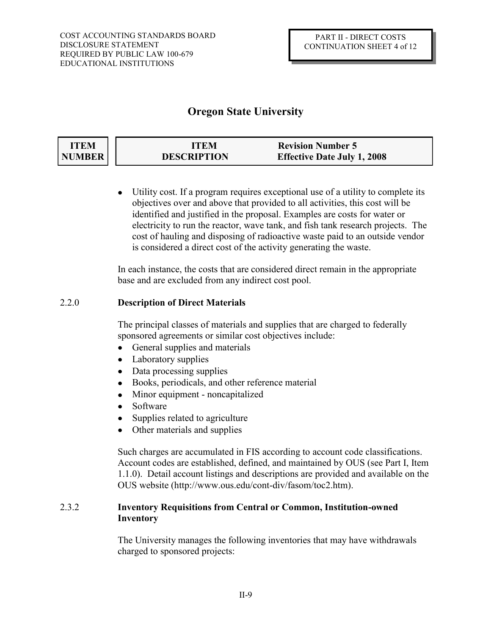| <b>ITEM</b>   | ITEM               | <b>Revision Number 5</b>           |  |
|---------------|--------------------|------------------------------------|--|
| <b>NUMBER</b> | <b>DESCRIPTION</b> | <b>Effective Date July 1, 2008</b> |  |

Utility cost. If a program requires exceptional use of a utility to complete its objectives over and above that provided to all activities, this cost will be identified and justified in the proposal. Examples are costs for water or electricity to run the reactor, wave tank, and fish tank research projects. The cost of hauling and disposing of radioactive waste paid to an outside vendor is considered a direct cost of the activity generating the waste.

In each instance, the costs that are considered direct remain in the appropriate base and are excluded from any indirect cost pool.

### 2.2.0 **Description of Direct Materials**

The principal classes of materials and supplies that are charged to federally sponsored agreements or similar cost objectives include:

- General supplies and materials
- $\bullet$ Laboratory supplies
- Data processing supplies
- Books, periodicals, and other reference material  $\bullet$
- Minor equipment noncapitalized  $\bullet$
- Software
- Supplies related to agriculture
- Other materials and supplies

Such charges are accumulated in FIS according to account code classifications. Account codes are established, defined, and maintained by OUS (see Part I, Item 1.1.0). Detail account listings and descriptions are provided and available on the OUS website (http://www.ous.edu/cont-div/fasom/toc2.htm).

## 2.3.2 **Inventory Requisitions from Central or Common, Institution-owned Inventory**

The University manages the following inventories that may have withdrawals charged to sponsored projects: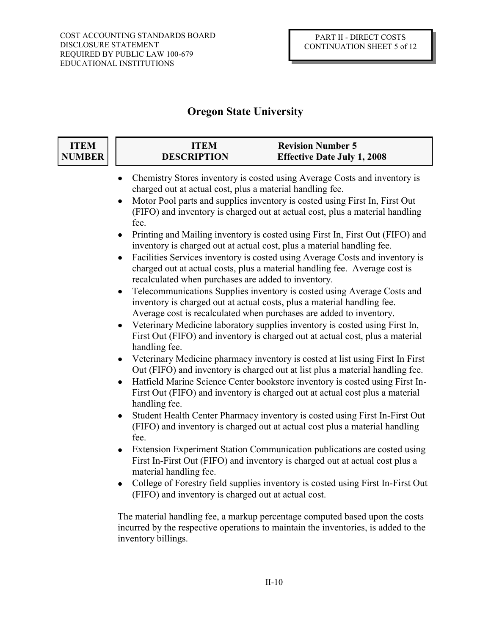| <b>ITEM</b><br><b>NUMBER</b> | <b>ITEM</b><br><b>DESCRIPTION</b>                                                                                                                                                                                                                                                                                                                                                         | <b>Revision Number 5</b><br><b>Effective Date July 1, 2008</b>                                                                                                                                                                                 |  |
|------------------------------|-------------------------------------------------------------------------------------------------------------------------------------------------------------------------------------------------------------------------------------------------------------------------------------------------------------------------------------------------------------------------------------------|------------------------------------------------------------------------------------------------------------------------------------------------------------------------------------------------------------------------------------------------|--|
|                              | charged out at actual cost, plus a material handling fee.<br>fee.                                                                                                                                                                                                                                                                                                                         | Chemistry Stores inventory is costed using Average Costs and inventory is<br>Motor Pool parts and supplies inventory is costed using First In, First Out<br>(FIFO) and inventory is charged out at actual cost, plus a material handling       |  |
|                              | Printing and Mailing inventory is costed using First In, First Out (FIFO) and<br>inventory is charged out at actual cost, plus a material handling fee.<br>Facilities Services inventory is costed using Average Costs and inventory is<br>$\bullet$<br>charged out at actual costs, plus a material handling fee. Average cost is<br>recalculated when purchases are added to inventory. |                                                                                                                                                                                                                                                |  |
|                              | $\bullet$                                                                                                                                                                                                                                                                                                                                                                                 | Telecommunications Supplies inventory is costed using Average Costs and<br>inventory is charged out at actual costs, plus a material handling fee.<br>Average cost is recalculated when purchases are added to inventory.                      |  |
|                              | handling fee.                                                                                                                                                                                                                                                                                                                                                                             | Veterinary Medicine laboratory supplies inventory is costed using First In,<br>First Out (FIFO) and inventory is charged out at actual cost, plus a material                                                                                   |  |
|                              |                                                                                                                                                                                                                                                                                                                                                                                           | Veterinary Medicine pharmacy inventory is costed at list using First In First<br>Out (FIFO) and inventory is charged out at list plus a material handling fee.<br>Hatfield Marine Science Center bookstore inventory is costed using First In- |  |
|                              | handling fee.                                                                                                                                                                                                                                                                                                                                                                             | First Out (FIFO) and inventory is charged out at actual cost plus a material                                                                                                                                                                   |  |
|                              | Student Health Center Pharmacy inventory is costed using First In-First Out<br>(FIFO) and inventory is charged out at actual cost plus a material handling<br>fee.                                                                                                                                                                                                                        |                                                                                                                                                                                                                                                |  |
|                              | $\bullet$<br>material handling fee.                                                                                                                                                                                                                                                                                                                                                       | Extension Experiment Station Communication publications are costed using<br>First In-First Out (FIFO) and inventory is charged out at actual cost plus a                                                                                       |  |
|                              | College of Forestry field supplies inventory is costed using First In-First Out<br>$\bullet$<br>(FIFO) and inventory is charged out at actual cost.                                                                                                                                                                                                                                       |                                                                                                                                                                                                                                                |  |
|                              | inventory billings.                                                                                                                                                                                                                                                                                                                                                                       | The material handling fee, a markup percentage computed based upon the costs<br>incurred by the respective operations to maintain the inventories, is added to the                                                                             |  |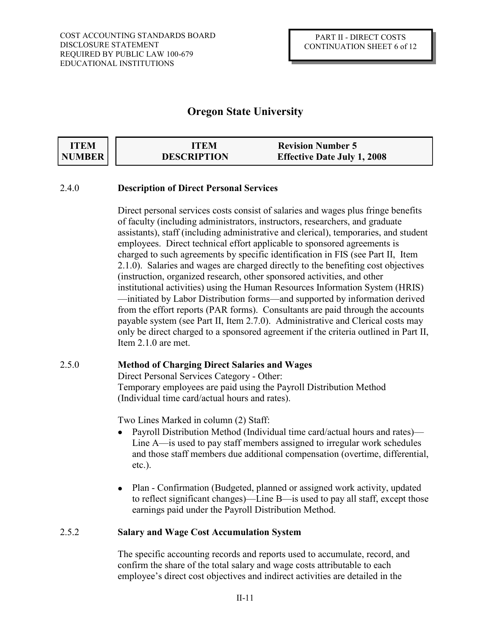| <b>ITEM</b> | <b>ITEM</b>        | <b>Revision Number 5</b>           |
|-------------|--------------------|------------------------------------|
| NUMBER      | <b>DESCRIPTION</b> | <b>Effective Date July 1, 2008</b> |

### 2.4.0 **Description of Direct Personal Services**

Direct personal services costs consist of salaries and wages plus fringe benefits of faculty (including administrators, instructors, researchers, and graduate assistants), staff (including administrative and clerical), temporaries, and student employees. Direct technical effort applicable to sponsored agreements is charged to such agreements by specific identification in FIS (see Part II, Item 2.1.0). Salaries and wages are charged directly to the benefiting cost objectives (instruction, organized research, other sponsored activities, and other institutional activities) using the Human Resources Information System (HRIS) —initiated by Labor Distribution forms—and supported by information derived from the effort reports (PAR forms). Consultants are paid through the accounts payable system (see Part II, Item 2.7.0). Administrative and Clerical costs may only be direct charged to a sponsored agreement if the criteria outlined in Part II, Item 2.1.0 are met.

### 2.5.0 **Method of Charging Direct Salaries and Wages**

Direct Personal Services Category - Other: Temporary employees are paid using the Payroll Distribution Method (Individual time card/actual hours and rates).

Two Lines Marked in column (2) Staff:

- Payroll Distribution Method (Individual time card/actual hours and rates)—  $\bullet$ Line A—is used to pay staff members assigned to irregular work schedules and those staff members due additional compensation (overtime, differential, etc.).
- Plan Confirmation (Budgeted, planned or assigned work activity, updated  $\bullet$ to reflect significant changes)—Line B—is used to pay all staff, except those earnings paid under the Payroll Distribution Method.

### 2.5.2 **Salary and Wage Cost Accumulation System**

The specific accounting records and reports used to accumulate, record, and confirm the share of the total salary and wage costs attributable to each employee's direct cost objectives and indirect activities are detailed in the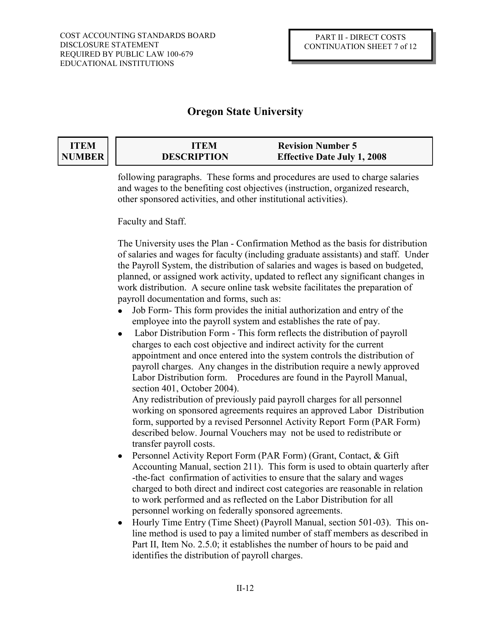### **ITEM NUMBER**

| <b>ITEM</b>        | <b>Revision Number 5</b>           |
|--------------------|------------------------------------|
| <b>DESCRIPTION</b> | <b>Effective Date July 1, 2008</b> |

following paragraphs. These forms and procedures are used to charge salaries and wages to the benefiting cost objectives (instruction, organized research, other sponsored activities, and other institutional activities).

Faculty and Staff.

The University uses the Plan - Confirmation Method as the basis for distribution of salaries and wages for faculty (including graduate assistants) and staff. Under the Payroll System, the distribution of salaries and wages is based on budgeted, planned, or assigned work activity, updated to reflect any significant changes in work distribution. A secure online task website facilitates the preparation of payroll documentation and forms, such as:

- Job Form- This form provides the initial authorization and entry of the employee into the payroll system and establishes the rate of pay.
- Labor Distribution Form This form reflects the distribution of payroll  $\bullet$ charges to each cost objective and indirect activity for the current appointment and once entered into the system controls the distribution of payroll charges. Any changes in the distribution require a newly approved Labor Distribution form. Procedures are found in the Payroll Manual, section 401, October 2004).

 Any redistribution of previously paid payroll charges for all personnel working on sponsored agreements requires an approved Labor Distribution form, supported by a revised Personnel Activity Report Form (PAR Form) described below. Journal Vouchers may not be used to redistribute or transfer payroll costs.

- Personnel Activity Report Form (PAR Form) (Grant, Contact, & Gift  $\bullet$ Accounting Manual, section 211). This form is used to obtain quarterly after -the-fact confirmation of activities to ensure that the salary and wages charged to both direct and indirect cost categories are reasonable in relation to work performed and as reflected on the Labor Distribution for all personnel working on federally sponsored agreements.
- Hourly Time Entry (Time Sheet) (Payroll Manual, section 501-03). This online method is used to pay a limited number of staff members as described in Part II, Item No. 2.5.0; it establishes the number of hours to be paid and identifies the distribution of payroll charges.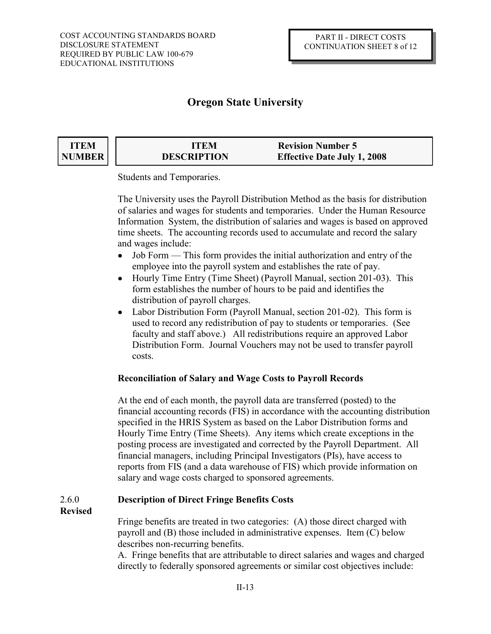| ITEM          | ITEM               | <b>Revision Number 5</b>           |
|---------------|--------------------|------------------------------------|
| <b>NUMBER</b> | <b>DESCRIPTION</b> | <b>Effective Date July 1, 2008</b> |

Students and Temporaries.

The University uses the Payroll Distribution Method as the basis for distribution of salaries and wages for students and temporaries. Under the Human Resource Information System, the distribution of salaries and wages is based on approved time sheets. The accounting records used to accumulate and record the salary and wages include:

- Job Form This form provides the initial authorization and entry of the employee into the payroll system and establishes the rate of pay.
- $\bullet$ Hourly Time Entry (Time Sheet) (Payroll Manual, section 201-03). This form establishes the number of hours to be paid and identifies the distribution of payroll charges.
- Labor Distribution Form (Payroll Manual, section 201-02). This form is  $\bullet$ used to record any redistribution of pay to students or temporaries. (See faculty and staff above.) All redistributions require an approved Labor Distribution Form. Journal Vouchers may not be used to transfer payroll costs.

### **Reconciliation of Salary and Wage Costs to Payroll Records**

At the end of each month, the payroll data are transferred (posted) to the financial accounting records (FIS) in accordance with the accounting distribution specified in the HRIS System as based on the Labor Distribution forms and Hourly Time Entry (Time Sheets). Any items which create exceptions in the posting process are investigated and corrected by the Payroll Department. All financial managers, including Principal Investigators (PIs), have access to reports from FIS (and a data warehouse of FIS) which provide information on salary and wage costs charged to sponsored agreements.

### 2.6.0 **Description of Direct Fringe Benefits Costs**

**Revised**

Fringe benefits are treated in two categories: (A) those direct charged with payroll and (B) those included in administrative expenses. Item (C) below describes non-recurring benefits.

A. Fringe benefits that are attributable to direct salaries and wages and charged directly to federally sponsored agreements or similar cost objectives include: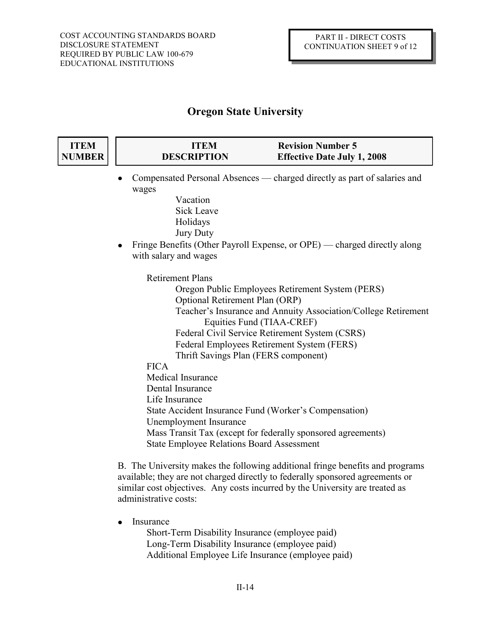| <b>ITEM</b><br><b>NUMBER</b> | <b>ITEM</b><br><b>DESCRIPTION</b>                | <b>Revision Number 5</b><br><b>Effective Date July 1, 2008</b>                              |
|------------------------------|--------------------------------------------------|---------------------------------------------------------------------------------------------|
|                              | wages                                            | Compensated Personal Absences — charged directly as part of salaries and                    |
|                              | Vacation                                         |                                                                                             |
|                              | <b>Sick Leave</b>                                |                                                                                             |
|                              | Holidays                                         |                                                                                             |
|                              | <b>Jury Duty</b>                                 |                                                                                             |
|                              |                                                  | Fringe Benefits (Other Payroll Expense, or OPE) — charged directly along                    |
|                              | with salary and wages                            |                                                                                             |
|                              | <b>Retirement Plans</b>                          |                                                                                             |
|                              |                                                  | Oregon Public Employees Retirement System (PERS)                                            |
|                              | Optional Retirement Plan (ORP)                   |                                                                                             |
|                              |                                                  | Teacher's Insurance and Annuity Association/College Retirement<br>Equities Fund (TIAA-CREF) |
|                              |                                                  | Federal Civil Service Retirement System (CSRS)                                              |
|                              |                                                  | Federal Employees Retirement System (FERS)                                                  |
|                              |                                                  | Thrift Savings Plan (FERS component)                                                        |
|                              | <b>FICA</b><br><b>Medical Insurance</b>          |                                                                                             |
|                              | Dental Insurance                                 |                                                                                             |
|                              | Life Insurance                                   |                                                                                             |
|                              |                                                  | State Accident Insurance Fund (Worker's Compensation)                                       |
|                              | Unemployment Insurance                           |                                                                                             |
|                              |                                                  | Mass Transit Tax (except for federally sponsored agreements)                                |
|                              | <b>State Employee Relations Board Assessment</b> |                                                                                             |
|                              |                                                  |                                                                                             |

B. The University makes the following additional fringe benefits and programs available; they are not charged directly to federally sponsored agreements or similar cost objectives. Any costs incurred by the University are treated as administrative costs:

 $\bullet$ Insurance

> Short-Term Disability Insurance (employee paid) Long-Term Disability Insurance (employee paid) Additional Employee Life Insurance (employee paid)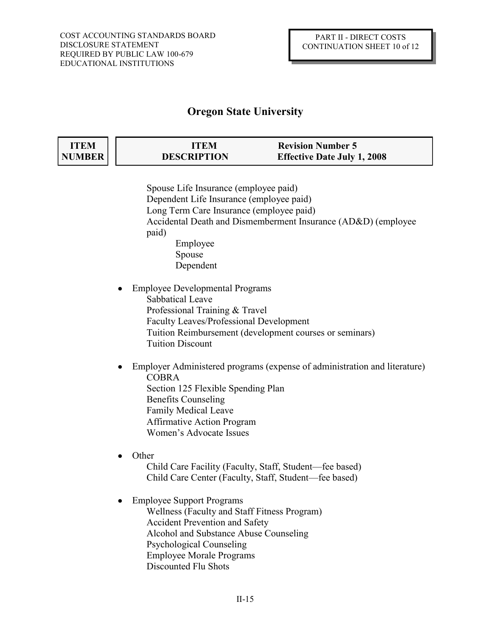| ITEM   | ITEM               | <b>Revision Number 5</b>           |
|--------|--------------------|------------------------------------|
| NUMBER | <b>DESCRIPTION</b> | <b>Effective Date July 1, 2008</b> |

Spouse Life Insurance (employee paid) Dependent Life Insurance (employee paid) Long Term Care Insurance (employee paid) Accidental Death and Dismemberment Insurance (AD&D) (employee paid) Employee Spouse Dependent

Employee Developmental Programs Sabbatical Leave Professional Training & Travel Faculty Leaves/Professional Development Tuition Reimbursement (development courses or seminars) Tuition Discount

- Employer Administered programs (expense of administration and literature) COBRA Section 125 Flexible Spending Plan Benefits Counseling Family Medical Leave Affirmative Action Program Women's Advocate Issues
- Other Child Care Facility (Faculty, Staff, Student—fee based) Child Care Center (Faculty, Staff, Student—fee based)
- Employee Support Programs Wellness (Faculty and Staff Fitness Program) Accident Prevention and Safety Alcohol and Substance Abuse Counseling Psychological Counseling Employee Morale Programs Discounted Flu Shots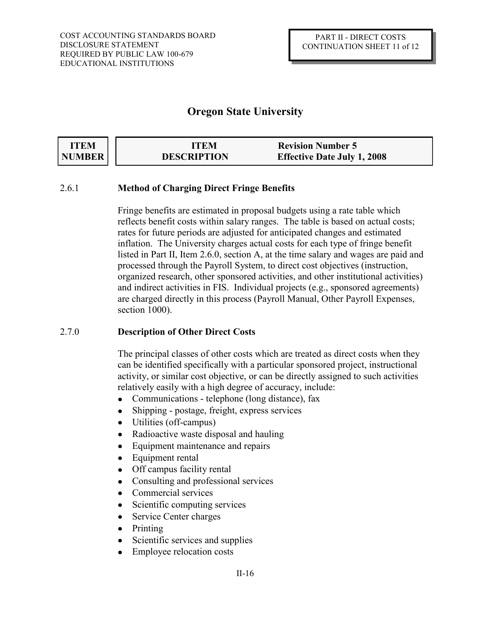| <b>ITEM</b> | ITEM               | <b>Revision Number 5</b>           |
|-------------|--------------------|------------------------------------|
| NUMBER      | <b>DESCRIPTION</b> | <b>Effective Date July 1, 2008</b> |

### 2.6.1 **Method of Charging Direct Fringe Benefits**

Fringe benefits are estimated in proposal budgets using a rate table which reflects benefit costs within salary ranges. The table is based on actual costs; rates for future periods are adjusted for anticipated changes and estimated inflation. The University charges actual costs for each type of fringe benefit listed in Part II, Item 2.6.0, section A, at the time salary and wages are paid and processed through the Payroll System, to direct cost objectives (instruction, organized research, other sponsored activities, and other institutional activities) and indirect activities in FIS. Individual projects (e.g., sponsored agreements) are charged directly in this process (Payroll Manual, Other Payroll Expenses, section 1000).

### 2.7.0 **Description of Other Direct Costs**

The principal classes of other costs which are treated as direct costs when they can be identified specifically with a particular sponsored project, instructional activity, or similar cost objective, or can be directly assigned to such activities relatively easily with a high degree of accuracy, include:

- Communications telephone (long distance), fax  $\bullet$
- Shipping postage, freight, express services  $\bullet$
- Utilities (off-campus)
- Radioactive waste disposal and hauling  $\bullet$
- Equipment maintenance and repairs  $\bullet$
- Equipment rental  $\bullet$
- Off campus facility rental  $\bullet$
- Consulting and professional services  $\bullet$
- Commercial services
- Scientific computing services
- Service Center charges
- Printing
- Scientific services and supplies
- Employee relocation costs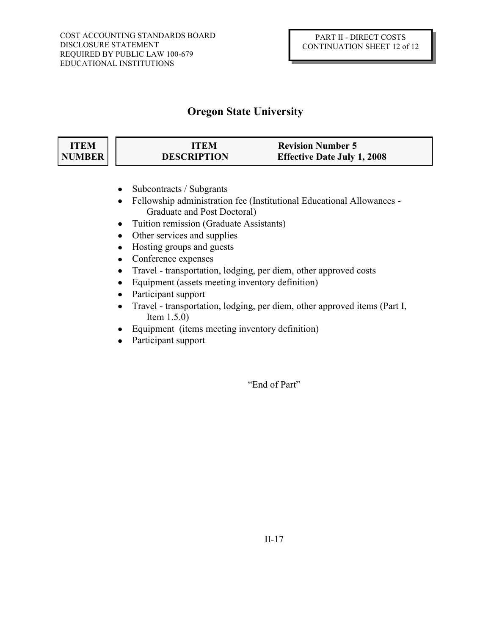| ITEM          | ITEM               | <b>Revision Number 5</b>           |
|---------------|--------------------|------------------------------------|
| <b>NUMBER</b> | <b>DESCRIPTION</b> | <b>Effective Date July 1, 2008</b> |

- Subcontracts / Subgrants
- Fellowship administration fee (Institutional Educational Allowances  $\bullet$ Graduate and Post Doctoral)
- Tuition remission (Graduate Assistants)
- Other services and supplies
- Hosting groups and guests  $\bullet$
- Conference expenses
- Travel transportation, lodging, per diem, other approved costs  $\bullet$
- Equipment (assets meeting inventory definition)  $\bullet$
- Participant support
- Travel transportation, lodging, per diem, other approved items (Part I,  $\bullet$ Item 1.5.0)
- Equipment (items meeting inventory definition)  $\bullet$
- Participant support  $\bullet$

"End of Part"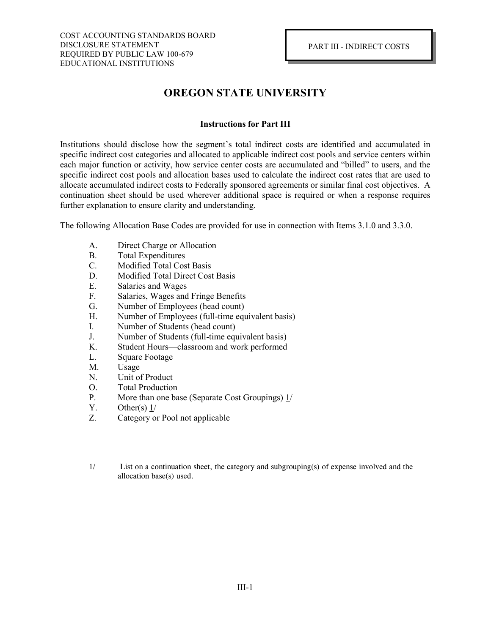# **OREGON STATE UNIVERSITY**

### **Instructions for Part III**

Institutions should disclose how the segment's total indirect costs are identified and accumulated in specific indirect cost categories and allocated to applicable indirect cost pools and service centers within each major function or activity, how service center costs are accumulated and "billed" to users, and the specific indirect cost pools and allocation bases used to calculate the indirect cost rates that are used to allocate accumulated indirect costs to Federally sponsored agreements or similar final cost objectives. A continuation sheet should be used wherever additional space is required or when a response requires further explanation to ensure clarity and understanding.

The following Allocation Base Codes are provided for use in connection with Items 3.1.0 and 3.3.0.

- A. Direct Charge or Allocation
- B. Total Expenditures
- C. Modified Total Cost Basis
- D. Modified Total Direct Cost Basis
- E. Salaries and Wages
- F. Salaries, Wages and Fringe Benefits
- G. Number of Employees (head count)<br>H. Number of Employees (full-time equ
- Number of Employees (full-time equivalent basis)
- I. Number of Students (head count)
- J. Number of Students (full-time equivalent basis)
- K. Student Hours—classroom and work performed
- L. Square Footage
- M. Usage
- N. Unit of Product
- O. Total Production
- P. More than one base (Separate Cost Groupings) 1/
- Y. Other(s)  $1/$
- Z. Category or Pool not applicable
- $1/$  List on a continuation sheet, the category and subgrouping(s) of expense involved and the allocation base(s) used.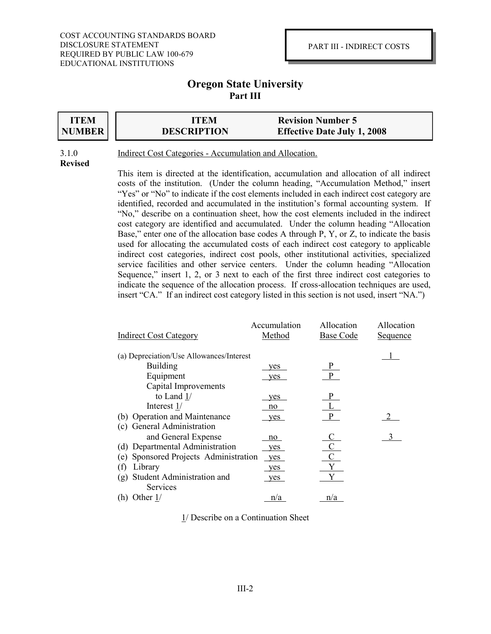### **Oregon State University Part III**



# **ITEM ITEM Revision Number 5 DESCRIPTION DESCRIPTION Effective Date July 1, 2008**

# **Revised**

3.1.0 Indirect Cost Categories - Accumulation and Allocation.

This item is directed at the identification, accumulation and allocation of all indirect costs of the institution. (Under the column heading, "Accumulation Method," insert "Yes" or "No" to indicate if the cost elements included in each indirect cost category are identified, recorded and accumulated in the institution's formal accounting system. If "No," describe on a continuation sheet, how the cost elements included in the indirect cost category are identified and accumulated. Under the column heading "Allocation Base," enter one of the allocation base codes A through P, Y, or Z, to indicate the basis used for allocating the accumulated costs of each indirect cost category to applicable indirect cost categories, indirect cost pools, other institutional activities, specialized service facilities and other service centers. Under the column heading "Allocation Sequence," insert 1, 2, or 3 next to each of the first three indirect cost categories to indicate the sequence of the allocation process. If cross-allocation techniques are used, insert "CA." If an indirect cost category listed in this section is not used, insert "NA.")

|                                          | Accumulation | Allocation       | Allocation |
|------------------------------------------|--------------|------------------|------------|
| <b>Indirect Cost Category</b>            | Method       | <b>Base Code</b> | Sequence   |
| (a) Depreciation/Use Allowances/Interest |              |                  |            |
| <b>Building</b>                          | yes          | P                |            |
| Equipment                                | yes          | P                |            |
| Capital Improvements                     |              |                  |            |
| to Land $1/$                             | yes          | P                |            |
| Interest 1/                              | no           |                  |            |
| (b) Operation and Maintenance            | yes          | P                |            |
| (c) General Administration               |              |                  |            |
| and General Expense                      | no           |                  | 3          |
| (d) Departmental Administration          | yes          |                  |            |
| Sponsored Projects Administration<br>(e) | yes          |                  |            |
| Library<br>(f)                           | yes          |                  |            |
| Student Administration and<br>(g)        | yes          |                  |            |
| Services                                 |              |                  |            |
| (h) Other $1/$                           | n/a          | n/a              |            |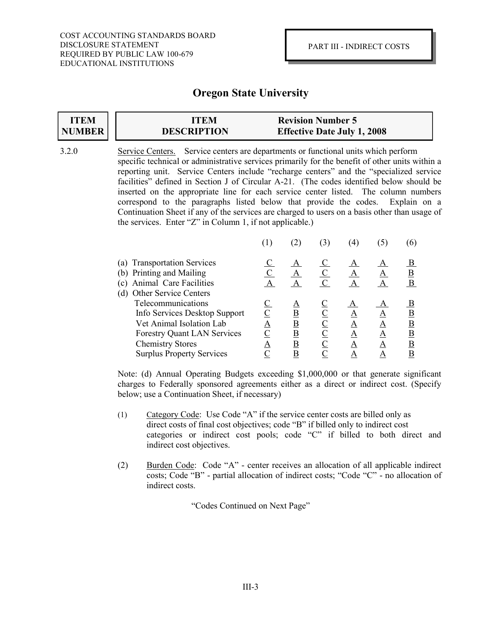# **ITEM NUMBER**

# **ITEM ITEM Revision Number 5 DESCRIPTION DESCRIPTION Effective Date July 1, 2008**

3.2.0 Service Centers. Service centers are departments or functional units which perform specific technical or administrative services primarily for the benefit of other units within a reporting unit. Service Centers include "recharge centers" and the "specialized service facilities" defined in Section J of Circular A-21. (The codes identified below should be inserted on the appropriate line for each service center listed. The column numbers correspond to the paragraphs listed below that provide the codes. Explain on a Continuation Sheet if any of the services are charged to users on a basis other than usage of the services. Enter "Z" in Column 1, if not applicable.)

|                                                                                                                                                                                      |               |                                     | $\left(4\right)$                      |                  | $\sigma$                                |
|--------------------------------------------------------------------------------------------------------------------------------------------------------------------------------------|---------------|-------------------------------------|---------------------------------------|------------------|-----------------------------------------|
| (a) Transportation Services<br>(b) Printing and Mailing<br>Animal Care Facilities<br>(c)<br><b>Other Service Centers</b><br>(d)                                                      |               | A<br>А                              | A                                     |                  | <u>B</u><br>B                           |
| Telecommunications<br>Info Services Desktop Support<br>Vet Animal Isolation Lab<br><b>Forestry Quant LAN Services</b><br><b>Chemistry Stores</b><br><b>Surplus Property Services</b> | Α<br><u>А</u> | Β<br><u>B</u><br>B<br><u>B</u><br>Β | $\mathbf{A}$<br>Α<br>A<br>A<br>Α<br>Α | Α<br>А<br>А<br>Α | $_{\rm B}$<br><u>B</u><br>B<br><u>B</u> |

Note: (d) Annual Operating Budgets exceeding \$1,000,000 or that generate significant charges to Federally sponsored agreements either as a direct or indirect cost. (Specify below; use a Continuation Sheet, if necessary)

- (1) Category Code: Use Code "A" if the service center costs are billed only as direct costs of final cost objectives; code "B" if billed only to indirect cost categories or indirect cost pools; code "C" if billed to both direct and indirect cost objectives.
- (2) Burden Code: Code "A" center receives an allocation of all applicable indirect costs; Code "B" - partial allocation of indirect costs; "Code "C" - no allocation of indirect costs.

"Codes Continued on Next Page"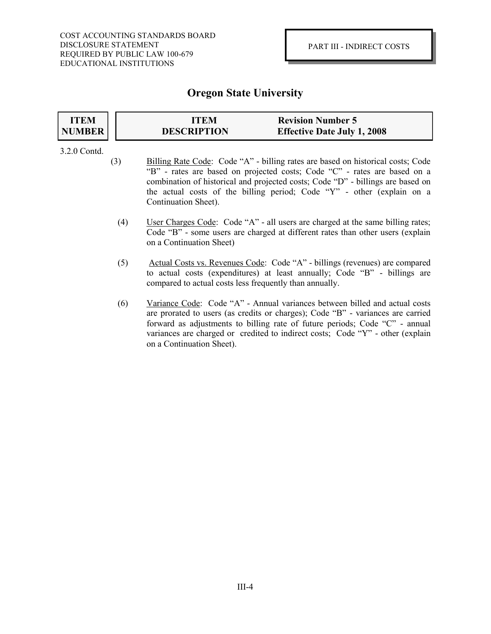#### **ITEM NUMBER ITEM ITEM Revision Number 5 DESCRIPTION DESCRIPTION Effective Date July 1, 2008**

### 3.2.0 Contd.

- (3) Billing Rate Code: Code "A" billing rates are based on historical costs; Code "B" - rates are based on projected costs; Code "C" - rates are based on a combination of historical and projected costs; Code "D" - billings are based on the actual costs of the billing period; Code "Y" - other (explain on a Continuation Sheet).
	- (4) User Charges Code: Code "A" all users are charged at the same billing rates; Code "B" - some users are charged at different rates than other users (explain on a Continuation Sheet)
	- (5) Actual Costs vs. Revenues Code: Code "A" billings (revenues) are compared to actual costs (expenditures) at least annually; Code "B" - billings are compared to actual costs less frequently than annually.
	- (6) Variance Code: Code "A" Annual variances between billed and actual costs are prorated to users (as credits or charges); Code "B" - variances are carried forward as adjustments to billing rate of future periods; Code "C" - annual variances are charged or credited to indirect costs; Code "Y" - other (explain on a Continuation Sheet).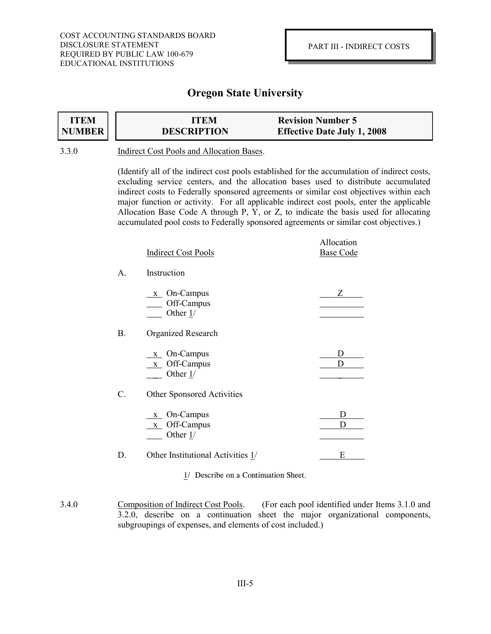| <b>ITEM</b> | ITEM               | <b>Revision Number 5</b>           |
|-------------|--------------------|------------------------------------|
| NUMBER      | <b>DESCRIPTION</b> | <b>Effective Date July 1, 2008</b> |

### 3.3.0 Indirect Cost Pools and Allocation Bases.

(Identify all of the indirect cost pools established for the accumulation of indirect costs, excluding service centers, and the allocation bases used to distribute accumulated indirect costs to Federally sponsored agreements or similar cost objectives within each major function or activity. For all applicable indirect cost pools, enter the applicable Allocation Base Code A through P, Y, or Z, to indicate the basis used for allocating accumulated pool costs to Federally sponsored agreements or similar cost objectives.)

|                | <b>Indirect Cost Pools</b>                                            | Allocation<br><b>Base Code</b> |
|----------------|-----------------------------------------------------------------------|--------------------------------|
| $\mathsf{A}$ . | Instruction                                                           |                                |
|                | $x$ On-Campus<br>Off-Campus<br>Other $1/$                             | Z                              |
| В.             | <b>Organized Research</b>                                             |                                |
|                | $\underline{x}$ On-Campus<br>$\underline{x}$ Off-Campus<br>Other $1/$ | D                              |
| C.             | Other Sponsored Activities                                            |                                |
|                | $x$ On-Campus<br>$x$ Off-Campus<br>Other $1/$                         | D<br>D                         |
| D.             | Other Institutional Activities 1/                                     | Е                              |

<sup>3.4.0</sup> Composition of Indirect Cost Pools. (For each pool identified under Items 3.1.0 and 3.2.0, describe on a continuation sheet the major organizational components, subgroupings of expenses, and elements of cost included.)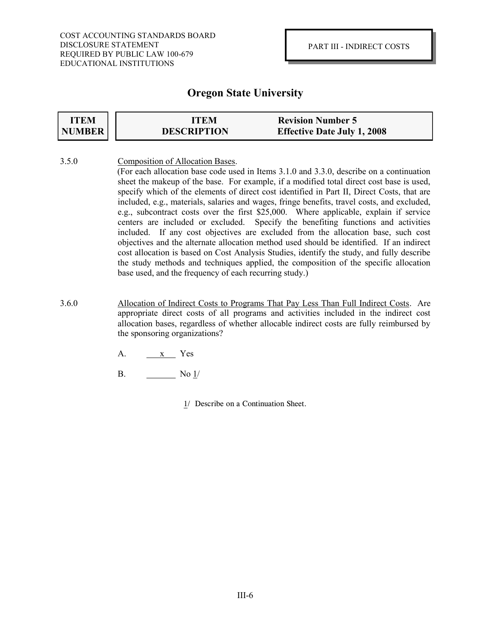| <b>ITEM</b> | ITEM               | <b>Revision Number 5</b>           |
|-------------|--------------------|------------------------------------|
| NUMBER      | <b>DESCRIPTION</b> | <b>Effective Date July 1, 2008</b> |

- 3.5.0 Composition of Allocation Bases. (For each allocation base code used in Items 3.1.0 and 3.3.0, describe on a continuation sheet the makeup of the base. For example, if a modified total direct cost base is used, specify which of the elements of direct cost identified in Part II, Direct Costs, that are included, e.g., materials, salaries and wages, fringe benefits, travel costs, and excluded, e.g., subcontract costs over the first \$25,000. Where applicable, explain if service centers are included or excluded. Specify the benefiting functions and activities included. If any cost objectives are excluded from the allocation base, such cost objectives and the alternate allocation method used should be identified. If an indirect cost allocation is based on Cost Analysis Studies, identify the study, and fully describe the study methods and techniques applied, the composition of the specific allocation base used, and the frequency of each recurring study.)
- 3.6.0 Allocation of Indirect Costs to Programs That Pay Less Than Full Indirect Costs. Are appropriate direct costs of all programs and activities included in the indirect cost allocation bases, regardless of whether allocable indirect costs are fully reimbursed by the sponsoring organizations?
	- A. x Yes
	- B.  $\qquad \qquad$  No  $\frac{1}{2}$ 
		- 1/ Describe on a Continuation Sheet.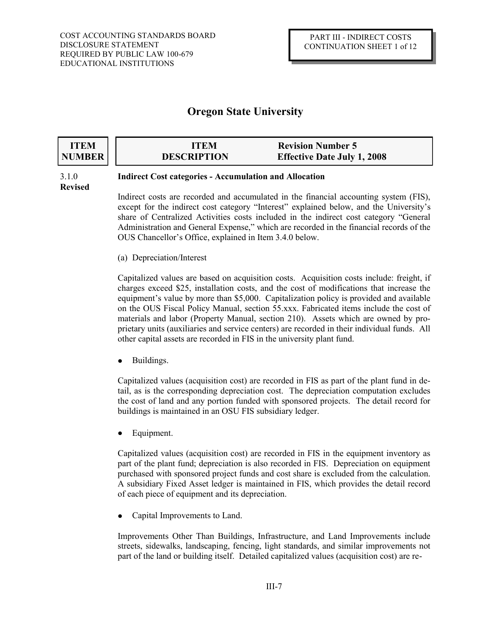| <b>ITEM</b> | ITEM               | <b>Revision Number 5</b>           |
|-------------|--------------------|------------------------------------|
| NUMBER      | <b>DESCRIPTION</b> | <b>Effective Date July 1, 2008</b> |

### 3.1.0 **Indirect Cost categories - Accumulation and Allocation**

**Revised**

Indirect costs are recorded and accumulated in the financial accounting system (FIS), except for the indirect cost category "Interest" explained below, and the University's share of Centralized Activities costs included in the indirect cost category "General Administration and General Expense," which are recorded in the financial records of the OUS Chancellor's Office, explained in Item 3.4.0 below.

(a) Depreciation/Interest

Capitalized values are based on acquisition costs. Acquisition costs include: freight, if charges exceed \$25, installation costs, and the cost of modifications that increase the equipment's value by more than \$5,000. Capitalization policy is provided and available on the OUS Fiscal Policy Manual, section 55.xxx. Fabricated items include the cost of materials and labor (Property Manual, section 210). Assets which are owned by proprietary units (auxiliaries and service centers) are recorded in their individual funds. All other capital assets are recorded in FIS in the university plant fund.

Buildings.

Capitalized values (acquisition cost) are recorded in FIS as part of the plant fund in detail, as is the corresponding depreciation cost. The depreciation computation excludes the cost of land and any portion funded with sponsored projects. The detail record for buildings is maintained in an OSU FIS subsidiary ledger.

Equipment.

Capitalized values (acquisition cost) are recorded in FIS in the equipment inventory as part of the plant fund; depreciation is also recorded in FIS. Depreciation on equipment purchased with sponsored project funds and cost share is excluded from the calculation. A subsidiary Fixed Asset ledger is maintained in FIS, which provides the detail record of each piece of equipment and its depreciation.

Capital Improvements to Land.  $\bullet$ 

Improvements Other Than Buildings, Infrastructure, and Land Improvements include streets, sidewalks, landscaping, fencing, light standards, and similar improvements not part of the land or building itself. Detailed capitalized values (acquisition cost) are re-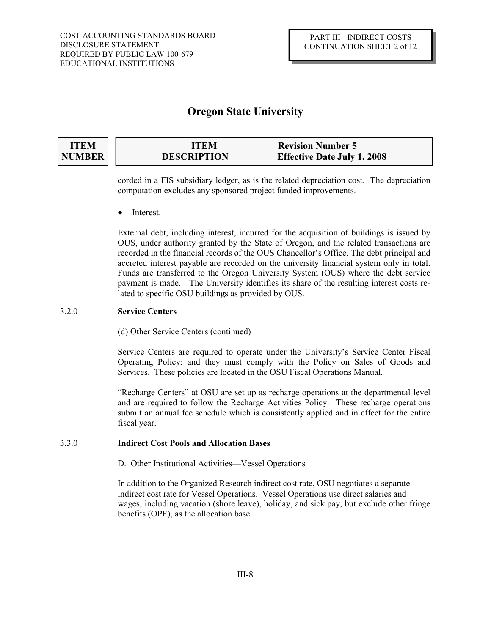#### **ITEM NUMBER ITEM Revision Number 5 DESCRIPTION Effective Date July 1, 2008**

corded in a FIS subsidiary ledger, as is the related depreciation cost. The depreciation computation excludes any sponsored project funded improvements.

Interest.

External debt, including interest, incurred for the acquisition of buildings is issued by OUS, under authority granted by the State of Oregon, and the related transactions are recorded in the financial records of the OUS Chancellor's Office. The debt principal and accreted interest payable are recorded on the university financial system only in total. Funds are transferred to the Oregon University System (OUS) where the debt service payment is made. The University identifies its share of the resulting interest costs related to specific OSU buildings as provided by OUS.

### 3.2.0 **Service Centers**

(d) Other Service Centers (continued)

Service Centers are required to operate under the University's Service Center Fiscal Operating Policy; and they must comply with the Policy on Sales of Goods and Services. These policies are located in the OSU Fiscal Operations Manual.

"Recharge Centers" at OSU are set up as recharge operations at the departmental level and are required to follow the Recharge Activities Policy. These recharge operations submit an annual fee schedule which is consistently applied and in effect for the entire fiscal year.

### 3.3.0 **Indirect Cost Pools and Allocation Bases**

D. Other Institutional Activities—Vessel Operations

In addition to the Organized Research indirect cost rate, OSU negotiates a separate indirect cost rate for Vessel Operations. Vessel Operations use direct salaries and wages, including vacation (shore leave), holiday, and sick pay, but exclude other fringe benefits (OPE), as the allocation base.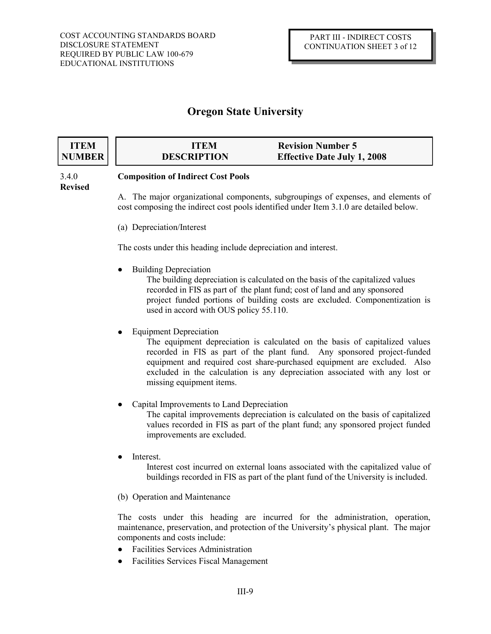#### **ITEM NUMBER ITEM Revision Number 5 DESCRIPTION Effective Date July 1, 2008**

# **Revised**

### 3.4.0 **Composition of Indirect Cost Pools**

A. The major organizational components, subgroupings of expenses, and elements of cost composing the indirect cost pools identified under Item 3.1.0 are detailed below.

(a) Depreciation/Interest

The costs under this heading include depreciation and interest.

Building Depreciation

The building depreciation is calculated on the basis of the capitalized values recorded in FIS as part of the plant fund; cost of land and any sponsored project funded portions of building costs are excluded. Componentization is used in accord with OUS policy 55.110.

Equipment Depreciation

The equipment depreciation is calculated on the basis of capitalized values recorded in FIS as part of the plant fund. Any sponsored project-funded equipment and required cost share-purchased equipment are excluded. Also excluded in the calculation is any depreciation associated with any lost or missing equipment items.

Capital Improvements to Land Depreciation

The capital improvements depreciation is calculated on the basis of capitalized values recorded in FIS as part of the plant fund; any sponsored project funded improvements are excluded.

Interest.

Interest cost incurred on external loans associated with the capitalized value of buildings recorded in FIS as part of the plant fund of the University is included.

(b) Operation and Maintenance

The costs under this heading are incurred for the administration, operation, maintenance, preservation, and protection of the University's physical plant. The major components and costs include:

- Facilities Services Administration
- Facilities Services Fiscal Management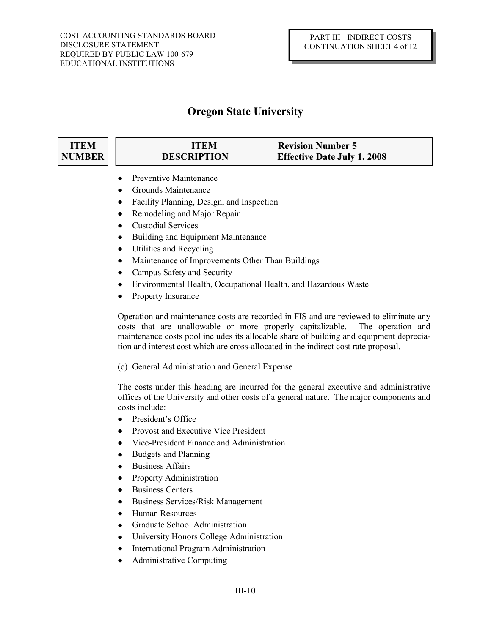### **ITEM NUMBER**

### **ITEM Revision Number 5 DESCRIPTION Effective Date July 1, 2008**

- Preventive Maintenance
- Grounds Maintenance
- Facility Planning, Design, and Inspection  $\bullet$
- Remodeling and Major Repair
- Custodial Services  $\bullet$
- $\bullet$ Building and Equipment Maintenance
- $\bullet$ Utilities and Recycling
- $\bullet$ Maintenance of Improvements Other Than Buildings
- Campus Safety and Security
- Environmental Health, Occupational Health, and Hazardous Waste  $\bullet$
- $\bullet$ Property Insurance

Operation and maintenance costs are recorded in FIS and are reviewed to eliminate any costs that are unallowable or more properly capitalizable. The operation and maintenance costs pool includes its allocable share of building and equipment depreciation and interest cost which are cross-allocated in the indirect cost rate proposal.

(c) General Administration and General Expense

The costs under this heading are incurred for the general executive and administrative offices of the University and other costs of a general nature. The major components and costs include:

- President's Office  $\bullet$
- Provost and Executive Vice President
- Vice-President Finance and Administration  $\bullet$
- Budgets and Planning  $\bullet$
- Business Affairs  $\bullet$
- $\bullet$ Property Administration
- $\bullet$ Business Centers
- Business Services/Risk Management  $\bullet$
- $\bullet$ Human Resources
- Graduate School Administration  $\bullet$
- University Honors College Administration
- International Program Administration
- Administrative Computing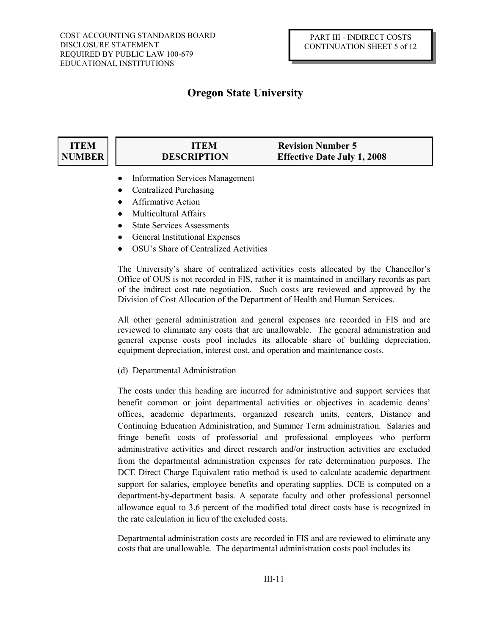### **ITEM NUMBER**

- **ITEM Revision Number 5 DESCRIPTION Effective Date July 1, 2008**
- Information Services Management
- Centralized Purchasing
- Affirmative Action
- Multicultural Affairs
- State Services Assessments
- General Institutional Expenses
- OSU's Share of Centralized Activities

The University's share of centralized activities costs allocated by the Chancellor's Office of OUS is not recorded in FIS, rather it is maintained in ancillary records as part of the indirect cost rate negotiation. Such costs are reviewed and approved by the Division of Cost Allocation of the Department of Health and Human Services.

All other general administration and general expenses are recorded in FIS and are reviewed to eliminate any costs that are unallowable. The general administration and general expense costs pool includes its allocable share of building depreciation, equipment depreciation, interest cost, and operation and maintenance costs.

(d) Departmental Administration

The costs under this heading are incurred for administrative and support services that benefit common or joint departmental activities or objectives in academic deans' offices, academic departments, organized research units, centers, Distance and Continuing Education Administration, and Summer Term administration. Salaries and fringe benefit costs of professorial and professional employees who perform administrative activities and direct research and/or instruction activities are excluded from the departmental administration expenses for rate determination purposes. The DCE Direct Charge Equivalent ratio method is used to calculate academic department support for salaries, employee benefits and operating supplies. DCE is computed on a department-by-department basis. A separate faculty and other professional personnel allowance equal to 3.6 percent of the modified total direct costs base is recognized in the rate calculation in lieu of the excluded costs.

Departmental administration costs are recorded in FIS and are reviewed to eliminate any costs that are unallowable. The departmental administration costs pool includes its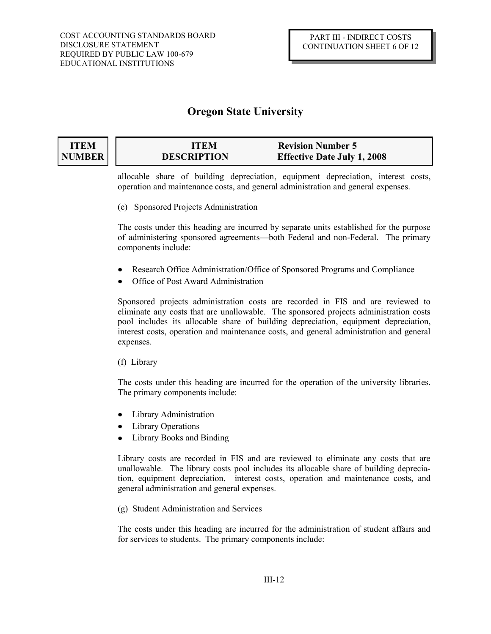## **ITEM NUMBER**

# **ITEM Revision Number 5 DESCRIPTION Effective Date July 1, 2008**

allocable share of building depreciation, equipment depreciation, interest costs, operation and maintenance costs, and general administration and general expenses.

(e) Sponsored Projects Administration

The costs under this heading are incurred by separate units established for the purpose of administering sponsored agreements—both Federal and non-Federal. The primary components include:

- Research Office Administration/Office of Sponsored Programs and Compliance
- Office of Post Award Administration

Sponsored projects administration costs are recorded in FIS and are reviewed to eliminate any costs that are unallowable. The sponsored projects administration costs pool includes its allocable share of building depreciation, equipment depreciation, interest costs, operation and maintenance costs, and general administration and general expenses.

(f) Library

The costs under this heading are incurred for the operation of the university libraries. The primary components include:

- Library Administration
- Library Operations
- Library Books and Binding

Library costs are recorded in FIS and are reviewed to eliminate any costs that are unallowable. The library costs pool includes its allocable share of building depreciation, equipment depreciation, interest costs, operation and maintenance costs, and general administration and general expenses.

(g) Student Administration and Services

The costs under this heading are incurred for the administration of student affairs and for services to students. The primary components include: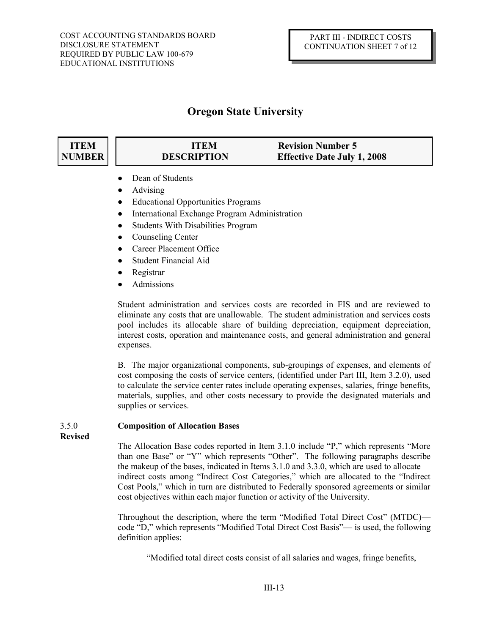### **ITEM NUMBER**

- **ITEM Revision Number 5 DESCRIPTION Effective Date July 1, 2008**
- Dean of Students
- Advising
- Educational Opportunities Programs
- International Exchange Program Administration
- Students With Disabilities Program  $\bullet$
- Counseling Center  $\bullet$
- Career Placement Office  $\bullet$
- Student Financial Aid
- Registrar
- Admissions

Student administration and services costs are recorded in FIS and are reviewed to eliminate any costs that are unallowable. The student administration and services costs pool includes its allocable share of building depreciation, equipment depreciation, interest costs, operation and maintenance costs, and general administration and general expenses.

B. The major organizational components, sub-groupings of expenses, and elements of cost composing the costs of service centers, (identified under Part III, Item 3.2.0), used to calculate the service center rates include operating expenses, salaries, fringe benefits, materials, supplies, and other costs necessary to provide the designated materials and supplies or services.

### 3.5.0 **Composition of Allocation Bases**

**Revised**

The Allocation Base codes reported in Item 3.1.0 include "P," which represents "More than one Base" or "Y" which represents "Other". The following paragraphs describe the makeup of the bases, indicated in Items 3.1.0 and 3.3.0, which are used to allocate indirect costs among "Indirect Cost Categories," which are allocated to the "Indirect Cost Pools," which in turn are distributed to Federally sponsored agreements or similar cost objectives within each major function or activity of the University.

Throughout the description, where the term "Modified Total Direct Cost" (MTDC) code "D," which represents "Modified Total Direct Cost Basis"— is used, the following definition applies:

"Modified total direct costs consist of all salaries and wages, fringe benefits,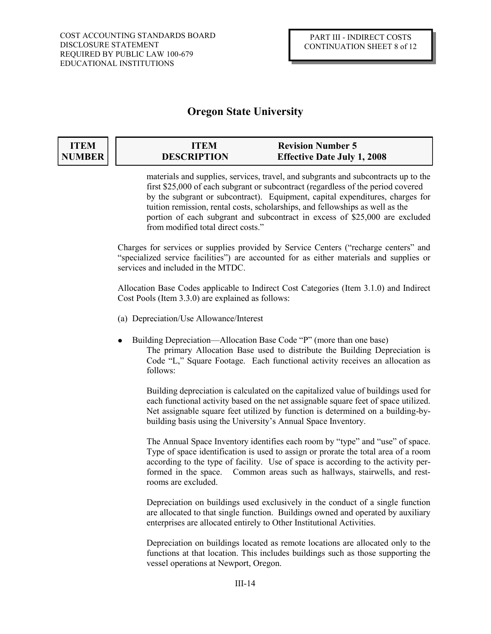### **ITEM NUMBER**

# **ITEM Revision Number 5 DESCRIPTION Effective Date July 1, 2008**

materials and supplies, services, travel, and subgrants and subcontracts up to the first \$25,000 of each subgrant or subcontract (regardless of the period covered by the subgrant or subcontract). Equipment, capital expenditures, charges for tuition remission, rental costs, scholarships, and fellowships as well as the portion of each subgrant and subcontract in excess of \$25,000 are excluded from modified total direct costs."

Charges for services or supplies provided by Service Centers ("recharge centers" and "specialized service facilities") are accounted for as either materials and supplies or services and included in the MTDC.

Allocation Base Codes applicable to Indirect Cost Categories (Item 3.1.0) and Indirect Cost Pools (Item 3.3.0) are explained as follows:

- (a) Depreciation/Use Allowance/Interest
- Building Depreciation—Allocation Base Code "P" (more than one base) The primary Allocation Base used to distribute the Building Depreciation is Code "L," Square Footage. Each functional activity receives an allocation as follows:

Building depreciation is calculated on the capitalized value of buildings used for each functional activity based on the net assignable square feet of space utilized. Net assignable square feet utilized by function is determined on a building-bybuilding basis using the University's Annual Space Inventory.

The Annual Space Inventory identifies each room by "type" and "use" of space. Type of space identification is used to assign or prorate the total area of a room according to the type of facility. Use of space is according to the activity performed in the space. Common areas such as hallways, stairwells, and restrooms are excluded.

Depreciation on buildings used exclusively in the conduct of a single function are allocated to that single function. Buildings owned and operated by auxiliary enterprises are allocated entirely to Other Institutional Activities.

Depreciation on buildings located as remote locations are allocated only to the functions at that location. This includes buildings such as those supporting the vessel operations at Newport, Oregon.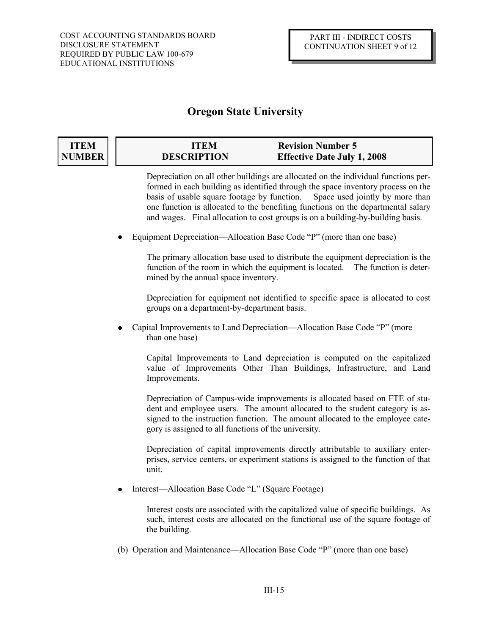### **ITEM NUMBER**

# **ITEM Revision Number 5 DESCRIPTION Effective Date July 1, 2008**

Depreciation on all other buildings are allocated on the individual functions performed in each building as identified through the space inventory process on the basis of usable square footage by function. Space used jointly by more than one function is allocated to the benefiting functions on the departmental salary and wages. Final allocation to cost groups is on a building-by-building basis.

Equipment Depreciation—Allocation Base Code "P" (more than one base)  $\bullet$ 

> The primary allocation base used to distribute the equipment depreciation is the function of the room in which the equipment is located. The function is determined by the annual space inventory.

> Depreciation for equipment not identified to specific space is allocated to cost groups on a department-by-department basis.

Capital Improvements to Land Depreciation—Allocation Base Code "P" (more than one base)

Capital Improvements to Land depreciation is computed on the capitalized value of Improvements Other Than Buildings, Infrastructure, and Land Improvements.

Depreciation of Campus-wide improvements is allocated based on FTE of student and employee users. The amount allocated to the student category is assigned to the instruction function. The amount allocated to the employee category is assigned to all functions of the university.

Depreciation of capital improvements directly attributable to auxiliary enterprises, service centers, or experiment stations is assigned to the function of that unit.

Interest—Allocation Base Code "L" (Square Footage)

Interest costs are associated with the capitalized value of specific buildings. As such, interest costs are allocated on the functional use of the square footage of the building.

(b) Operation and Maintenance—Allocation Base Code "P" (more than one base)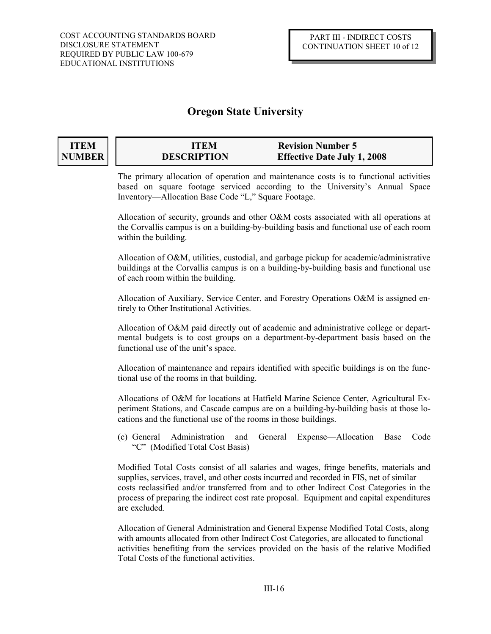### **ITEM NUMBER**

# **ITEM Revision Number 5 DESCRIPTION Effective Date July 1, 2008**

The primary allocation of operation and maintenance costs is to functional activities based on square footage serviced according to the University's Annual Space Inventory—Allocation Base Code "L," Square Footage.

Allocation of security, grounds and other O&M costs associated with all operations at the Corvallis campus is on a building-by-building basis and functional use of each room within the building.

Allocation of O&M, utilities, custodial, and garbage pickup for academic/administrative buildings at the Corvallis campus is on a building-by-building basis and functional use of each room within the building.

Allocation of Auxiliary, Service Center, and Forestry Operations O&M is assigned entirely to Other Institutional Activities.

Allocation of O&M paid directly out of academic and administrative college or departmental budgets is to cost groups on a department-by-department basis based on the functional use of the unit's space.

Allocation of maintenance and repairs identified with specific buildings is on the functional use of the rooms in that building.

Allocations of O&M for locations at Hatfield Marine Science Center, Agricultural Experiment Stations, and Cascade campus are on a building-by-building basis at those locations and the functional use of the rooms in those buildings.

(c) General Administration and General Expense—Allocation Base Code "C" (Modified Total Cost Basis)

Modified Total Costs consist of all salaries and wages, fringe benefits, materials and supplies, services, travel, and other costs incurred and recorded in FIS, net of similar costs reclassified and/or transferred from and to other Indirect Cost Categories in the process of preparing the indirect cost rate proposal. Equipment and capital expenditures are excluded.

Allocation of General Administration and General Expense Modified Total Costs, along with amounts allocated from other Indirect Cost Categories, are allocated to functional activities benefiting from the services provided on the basis of the relative Modified Total Costs of the functional activities.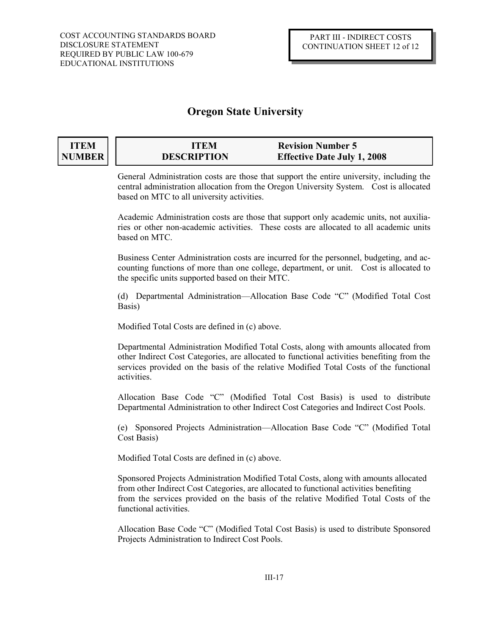### **ITEM NUMBER**

# **ITEM Revision Number 5 DESCRIPTION Effective Date July 1, 2008**

General Administration costs are those that support the entire university, including the central administration allocation from the Oregon University System. Cost is allocated based on MTC to all university activities.

Academic Administration costs are those that support only academic units, not auxiliaries or other non-academic activities. These costs are allocated to all academic units based on MTC.

Business Center Administration costs are incurred for the personnel, budgeting, and accounting functions of more than one college, department, or unit. Cost is allocated to the specific units supported based on their MTC.

(d) Departmental Administration—Allocation Base Code "C" (Modified Total Cost Basis)

Modified Total Costs are defined in (c) above.

Departmental Administration Modified Total Costs, along with amounts allocated from other Indirect Cost Categories, are allocated to functional activities benefiting from the services provided on the basis of the relative Modified Total Costs of the functional activities.

Allocation Base Code "C" (Modified Total Cost Basis) is used to distribute Departmental Administration to other Indirect Cost Categories and Indirect Cost Pools.

(e) Sponsored Projects Administration—Allocation Base Code "C" (Modified Total Cost Basis)

Modified Total Costs are defined in (c) above.

Sponsored Projects Administration Modified Total Costs, along with amounts allocated from other Indirect Cost Categories, are allocated to functional activities benefiting from the services provided on the basis of the relative Modified Total Costs of the functional activities.

Allocation Base Code "C" (Modified Total Cost Basis) is used to distribute Sponsored Projects Administration to Indirect Cost Pools.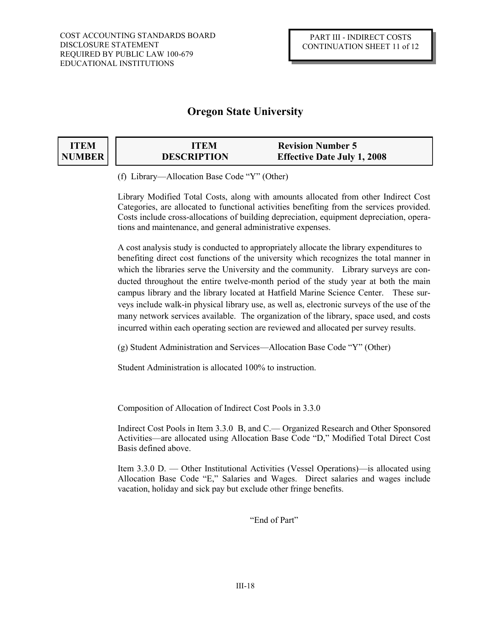# **ITEM NUMBER**

| <b>ITEM</b>        | <b>Revision Number 5</b>           |
|--------------------|------------------------------------|
| <b>DESCRIPTION</b> | <b>Effective Date July 1, 2008</b> |

(f) Library—Allocation Base Code "Y" (Other)

Library Modified Total Costs, along with amounts allocated from other Indirect Cost Categories, are allocated to functional activities benefiting from the services provided. Costs include cross-allocations of building depreciation, equipment depreciation, operations and maintenance, and general administrative expenses.

A cost analysis study is conducted to appropriately allocate the library expenditures to benefiting direct cost functions of the university which recognizes the total manner in which the libraries serve the University and the community. Library surveys are conducted throughout the entire twelve-month period of the study year at both the main campus library and the library located at Hatfield Marine Science Center. These surveys include walk-in physical library use, as well as, electronic surveys of the use of the many network services available. The organization of the library, space used, and costs incurred within each operating section are reviewed and allocated per survey results.

(g) Student Administration and Services—Allocation Base Code "Y" (Other)

Student Administration is allocated 100% to instruction.

Composition of Allocation of Indirect Cost Pools in 3.3.0

Indirect Cost Pools in Item 3.3.0 B, and C.— Organized Research and Other Sponsored Activities—are allocated using Allocation Base Code "D," Modified Total Direct Cost Basis defined above.

Item 3.3.0 D. — Other Institutional Activities (Vessel Operations)—is allocated using Allocation Base Code "E," Salaries and Wages. Direct salaries and wages include vacation, holiday and sick pay but exclude other fringe benefits.

"End of Part"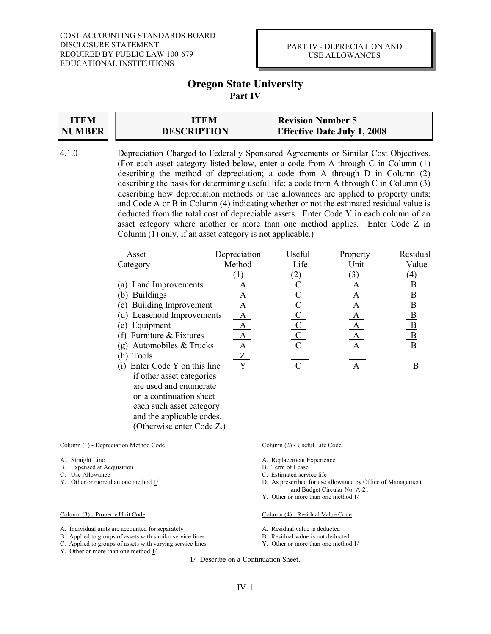### PART IV - DEPRECIATION AND USE ALLOWANCES

# **Oregon State University Part IV**

#### **ITEM NUMBER ITEM ITEM Revision Number 5 DESCRIPTION DESCRIPTION Effective Date July 1, 2008**

4.1.0 Depreciation Charged to Federally Sponsored Agreements or Similar Cost Objectives. (For each asset category listed below, enter a code from A through C in Column (1) describing the method of depreciation; a code from A through D in Column (2) describing the basis for determining useful life; a code from A through C in Column (3) describing how depreciation methods or use allowances are applied to property units; and Code A or B in Column (4) indicating whether or not the estimated residual value is deducted from the total cost of depreciable assets. Enter Code Y in each column of an asset category where another or more than one method applies. Enter Code Z in Column (1) only, if an asset category is not applicable.)

| Asset                            | Depreciation | Useful         | Property     | Residual                                                                                      |
|----------------------------------|--------------|----------------|--------------|-----------------------------------------------------------------------------------------------|
| Category                         | Method       | Life           | Unit         | Value                                                                                         |
|                                  | (1)          | (2)            | (3)          | $\left( 4\right)$                                                                             |
| (a) Land Improvements            |              | $\overline{C}$ |              | $\overline{B}$                                                                                |
| <b>Buildings</b><br>(b)          | А            | $\overline{C}$ |              |                                                                                               |
| (c) Building Improvement         | A            | $\mathcal{C}$  | $\mathbf{A}$ |                                                                                               |
| (d) Leasehold Improvements       | A            | $\frac{C}{C}$  | A            | $\frac{\text{B}}{\text{B}}{\text{B}}$ $\frac{\text{B}}{\text{B}}$ $\frac{\text{B}}{\text{B}}$ |
| (e) Equipment                    | A            |                | $\mathbf{A}$ |                                                                                               |
| (f) Furniture $&$ Fixtures       | A            | $\mathbf{C}$   | A            |                                                                                               |
| (g) Automobiles $&$ Trucks       | A            | $\mathbf C$    | A            |                                                                                               |
| Tools<br>(h)                     | Z            |                |              |                                                                                               |
| Enter Code Y on this line<br>(1) | Y            |                |              |                                                                                               |
| if other asset categories        |              |                |              |                                                                                               |
| are used and enumerate           |              |                |              |                                                                                               |
| on a continuation sheet          |              |                |              |                                                                                               |

Column (1) - Depreciation Method Code Column (2) - Useful Life Code

 each such asset category and the applicable codes. (Otherwise enter Code Z.)

- 
- B. Expensed at Acquisition<br>C. Use Allowance
- 
- C. Use Allowance<br>
Y. Other or more than one method 1/<br>
D. As prescribed for use

- A. Individual units are accounted for separately A. Residual value is deducted
- B. Applied to groups of assets with similar service lines B. Residual value is not deducted<br>C. Applied to groups of assets with varying service lines T. Other or more than one method 1/
- C. Applied to groups of assets with varying service lines
- Y. Other or more than one method 1/

- A. Straight Line <br>
A. Replacement Experience<br>
B. Term of Lease<br>
B. Term of Lease
	-
	-
	- D. As prescribed for use allowance by Office of Management and Budget Circular No. A-21
	- Y. Other or more than one method 1/

### Column (3) - Property Unit Code Column (4) - Residual Value Code

- 
- 
-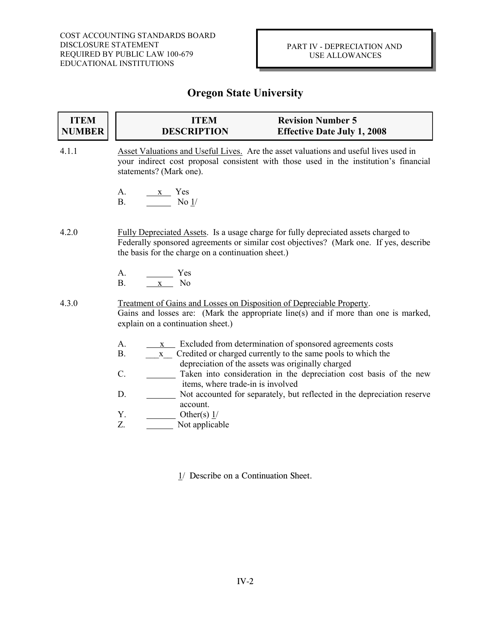| <b>ITEM</b><br><b>NUMBER</b> | <b>ITEM</b><br><b>DESCRIPTION</b>                                                                                                                                                                                                   | <b>Revision Number 5</b><br><b>Effective Date July 1, 2008</b>                                                            |
|------------------------------|-------------------------------------------------------------------------------------------------------------------------------------------------------------------------------------------------------------------------------------|---------------------------------------------------------------------------------------------------------------------------|
| 4.1.1                        | Asset Valuations and Useful Lives. Are the asset valuations and useful lives used in<br>your indirect cost proposal consistent with those used in the institution's financial<br>statements? (Mark one).                            |                                                                                                                           |
|                              | А.<br>x Yes<br><b>B.</b><br>No $1/$                                                                                                                                                                                                 |                                                                                                                           |
| 4.2.0                        | Fully Depreciated Assets. Is a usage charge for fully depreciated assets charged to<br>Federally sponsored agreements or similar cost objectives? (Mark one. If yes, describe<br>the basis for the charge on a continuation sheet.) |                                                                                                                           |
|                              | A.<br>Yes<br><b>B.</b><br>N <sub>o</sub><br>$\mathbf X$                                                                                                                                                                             |                                                                                                                           |
| 4.3.0                        | Treatment of Gains and Losses on Disposition of Depreciable Property.<br>Gains and losses are: (Mark the appropriate line(s) and if more than one is marked,<br>explain on a continuation sheet.)                                   |                                                                                                                           |
|                              | A.<br>$\mathbf X$<br><b>B.</b><br>$\mathbf X$<br>depreciation of the assets was originally charged                                                                                                                                  | Excluded from determination of sponsored agreements costs<br>Credited or charged currently to the same pools to which the |
|                              | $C$ .<br>items, where trade-in is involved                                                                                                                                                                                          | Taken into consideration in the depreciation cost basis of the new                                                        |
|                              | D.<br>account.                                                                                                                                                                                                                      | Not accounted for separately, but reflected in the depreciation reserve                                                   |
|                              | Υ.<br>Other(s) $1/$<br>Z.<br>Not applicable                                                                                                                                                                                         |                                                                                                                           |
|                              |                                                                                                                                                                                                                                     |                                                                                                                           |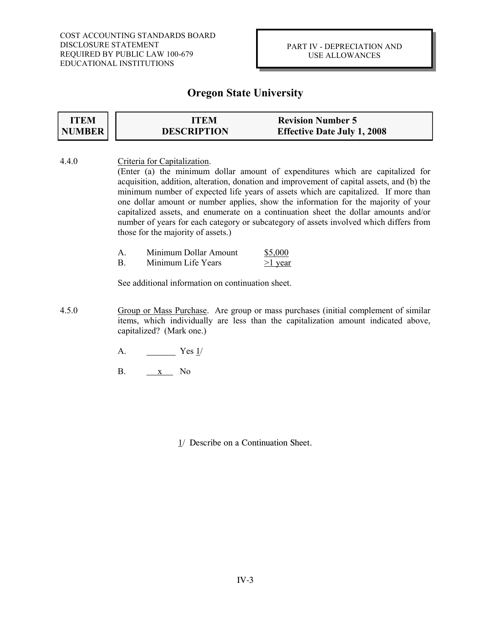### PART IV - DEPRECIATION AND USE ALLOWANCES

# **Oregon State University**

| <b>ITEM</b><br><b>NUMBER</b> | <b>ITEM</b><br><b>DESCRIPTION</b>                                  | <b>Revision Number 5</b><br><b>Effective Date July 1, 2008</b>                                                                                                                                                                                                                                                                                                                                                                                                                                                                             |  |  |
|------------------------------|--------------------------------------------------------------------|--------------------------------------------------------------------------------------------------------------------------------------------------------------------------------------------------------------------------------------------------------------------------------------------------------------------------------------------------------------------------------------------------------------------------------------------------------------------------------------------------------------------------------------------|--|--|
| 4.4.0                        | Criteria for Capitalization.<br>those for the majority of assets.) | (Enter (a) the minimum dollar amount of expenditures which are capitalized for<br>acquisition, addition, alteration, donation and improvement of capital assets, and (b) the<br>minimum number of expected life years of assets which are capitalized. If more than<br>one dollar amount or number applies, show the information for the majority of your<br>capitalized assets, and enumerate on a continuation sheet the dollar amounts and/or<br>number of years for each category or subcategory of assets involved which differs from |  |  |
|                              | Minimum Dollar Amount<br>A.<br><b>B.</b><br>Minimum Life Years     | \$5,000<br>$>1$ year                                                                                                                                                                                                                                                                                                                                                                                                                                                                                                                       |  |  |
|                              | See additional information on continuation sheet.                  |                                                                                                                                                                                                                                                                                                                                                                                                                                                                                                                                            |  |  |
| 4.5.0                        | capitalized? (Mark one.)                                           | Group or Mass Purchase. Are group or mass purchases (initial complement of similar<br>items, which individually are less than the capitalization amount indicated above,                                                                                                                                                                                                                                                                                                                                                                   |  |  |

- A. Yes 1/
- B. x No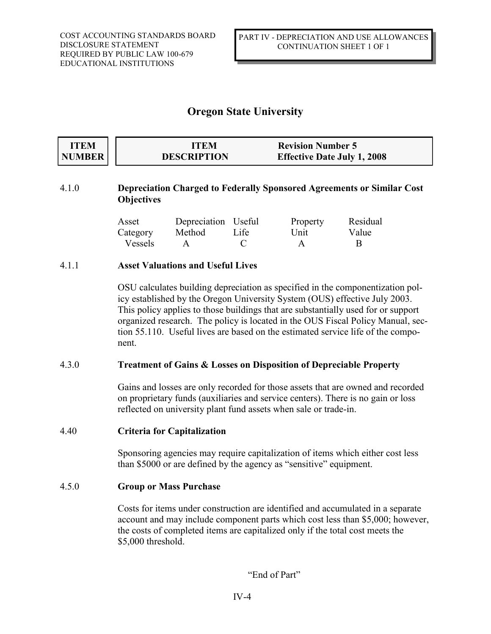| <b>ITEM</b> | ITEM               | <b>Revision Number 5</b>           |
|-------------|--------------------|------------------------------------|
| NUMBER      | <b>DESCRIPTION</b> | <b>Effective Date July 1, 2008</b> |

### 4.1.0 **Depreciation Charged to Federally Sponsored Agreements or Similar Cost Objectives**

| Asset    | Depreciation Useful |      | Property     | Residual |
|----------|---------------------|------|--------------|----------|
| Category | Method              | Life | Unit         | Value    |
| Vessels  |                     |      | $\mathbf{A}$ |          |

### 4.1.1 **Asset Valuations and Useful Lives**

OSU calculates building depreciation as specified in the componentization policy established by the Oregon University System (OUS) effective July 2003. This policy applies to those buildings that are substantially used for or support organized research. The policy is located in the OUS Fiscal Policy Manual, section 55.110. Useful lives are based on the estimated service life of the component.

### 4.3.0 **Treatment of Gains & Losses on Disposition of Depreciable Property**

Gains and losses are only recorded for those assets that are owned and recorded on proprietary funds (auxiliaries and service centers). There is no gain or loss reflected on university plant fund assets when sale or trade-in.

### 4.40 **Criteria for Capitalization**

Sponsoring agencies may require capitalization of items which either cost less than \$5000 or are defined by the agency as "sensitive" equipment.

### 4.5.0 **Group or Mass Purchase**

Costs for items under construction are identified and accumulated in a separate account and may include component parts which cost less than \$5,000; however, the costs of completed items are capitalized only if the total cost meets the \$5,000 threshold.

"End of Part"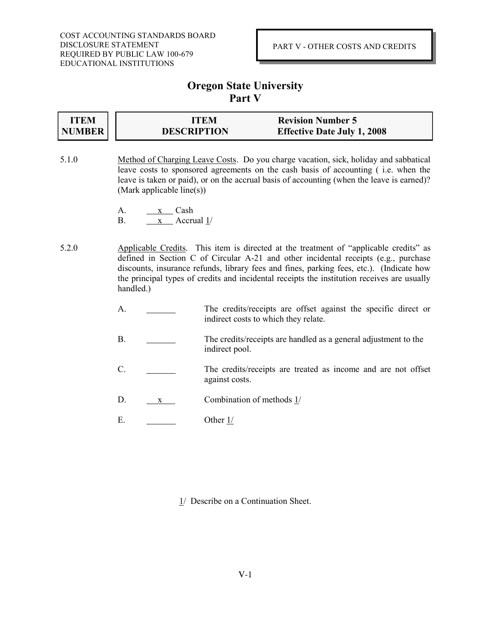# **Oregon State University Part V**

| <b>ITEM</b>   | ITEM               | <b>Revision Number 5</b>           |
|---------------|--------------------|------------------------------------|
| <b>NUMBER</b> | <b>DESCRIPTION</b> | <b>Effective Date July 1, 2008</b> |

- 5.1.0 Method of Charging Leave Costs. Do you charge vacation, sick, holiday and sabbatical leave costs to sponsored agreements on the cash basis of accounting ( i.e. when the leave is taken or paid), or on the accrual basis of accounting (when the leave is earned)? (Mark applicable line(s))
	- A. x Cash
	- B. x Accrual 1/
- 5.2.0 Applicable Credits. This item is directed at the treatment of "applicable credits" as defined in Section C of Circular A-21 and other incidental receipts (e.g., purchase discounts, insurance refunds, library fees and fines, parking fees, etc.). (Indicate how the principal types of credits and incidental receipts the institution receives are usually handled.)
	- A. The credits/receipts are offset against the specific direct or indirect costs to which they relate.
	- B. The credits/receipts are handled as a general adjustment to the indirect pool.
	- C. The credits/receipts are treated as income and are not offset against costs.
	- D. x Combination of methods 1/
	- E. Other 1/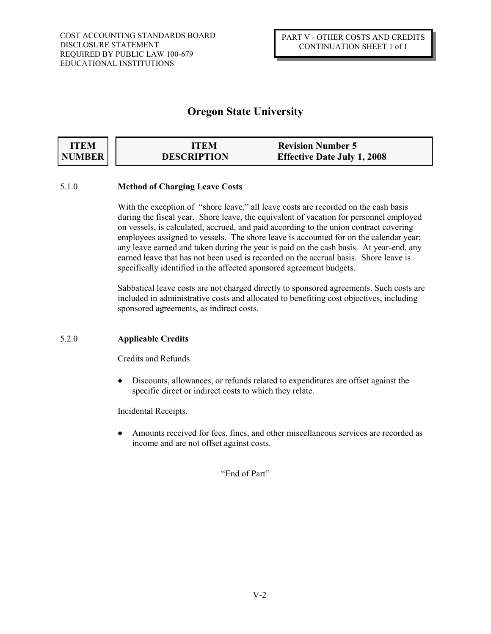| <b>ITEM</b> | ITEM               | <b>Revision Number 5</b>           |
|-------------|--------------------|------------------------------------|
| NUMBER      | <b>DESCRIPTION</b> | <b>Effective Date July 1, 2008</b> |

### 5.1.0 **Method of Charging Leave Costs**

With the exception of "shore leave," all leave costs are recorded on the cash basis during the fiscal year. Shore leave, the equivalent of vacation for personnel employed on vessels, is calculated, accrued, and paid according to the union contract covering employees assigned to vessels. The shore leave is accounted for on the calendar year; any leave earned and taken during the year is paid on the cash basis. At year-end, any earned leave that has not been used is recorded on the accrual basis. Shore leave is specifically identified in the affected sponsored agreement budgets.

Sabbatical leave costs are not charged directly to sponsored agreements. Such costs are included in administrative costs and allocated to benefiting cost objectives, including sponsored agreements, as indirect costs.

### 5.2.0 **Applicable Credits**

Credits and Refunds.

Discounts, allowances, or refunds related to expenditures are offset against the  $\bullet$ specific direct or indirect costs to which they relate.

Incidental Receipts.

Amounts received for fees, fines, and other miscellaneous services are recorded as income and are not offset against costs.

"End of Part"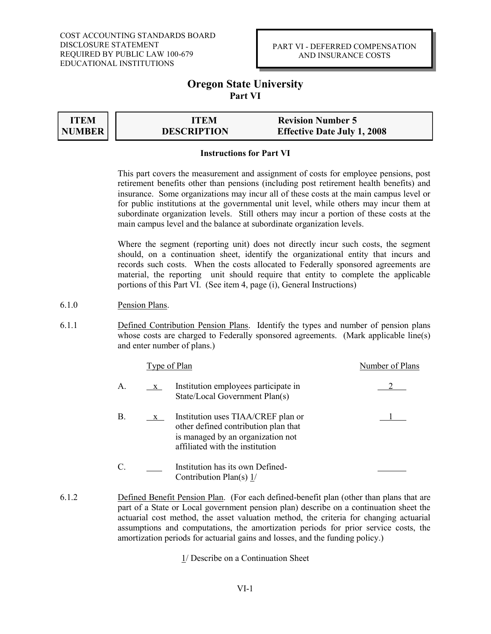### PART VI - DEFERRED COMPENSATION AND INSURANCE COSTS

### **Oregon State University Part VI**

**ITEM NUMBER**

**ITEM ITEM Revision Number 5 DESCRIPTION DESCRIPTION Effective Date July 1, 2008**

### **Instructions for Part VI**

This part covers the measurement and assignment of costs for employee pensions, post retirement benefits other than pensions (including post retirement health benefits) and insurance. Some organizations may incur all of these costs at the main campus level or for public institutions at the governmental unit level, while others may incur them at subordinate organization levels. Still others may incur a portion of these costs at the main campus level and the balance at subordinate organization levels.

Where the segment (reporting unit) does not directly incur such costs, the segment should, on a continuation sheet, identify the organizational entity that incurs and records such costs. When the costs allocated to Federally sponsored agreements are material, the reporting unit should require that entity to complete the applicable portions of this Part VI. (See item 4, page (i), General Instructions)

- 6.1.0 Pension Plans.
- 6.1.1 Defined Contribution Pension Plans. Identify the types and number of pension plans whose costs are charged to Federally sponsored agreements. (Mark applicable line(s) and enter number of plans.)

|               | Type of Plan |                                                                                                                                                    | Number of Plans |  |
|---------------|--------------|----------------------------------------------------------------------------------------------------------------------------------------------------|-----------------|--|
| A.            | $X_{-}$      | Institution employees participate in<br>State/Local Government Plan(s)                                                                             |                 |  |
| В.            | $\mathbf{X}$ | Institution uses TIAA/CREF plan or<br>other defined contribution plan that<br>is managed by an organization not<br>affiliated with the institution |                 |  |
| $\mathcal{C}$ |              | Institution has its own Defined-<br>Contribution Plan(s) $1/$                                                                                      |                 |  |

6.1.2 Defined Benefit Pension Plan. (For each defined-benefit plan (other than plans that are part of a State or Local government pension plan) describe on a continuation sheet the actuarial cost method, the asset valuation method, the criteria for changing actuarial assumptions and computations, the amortization periods for prior service costs, the amortization periods for actuarial gains and losses, and the funding policy.)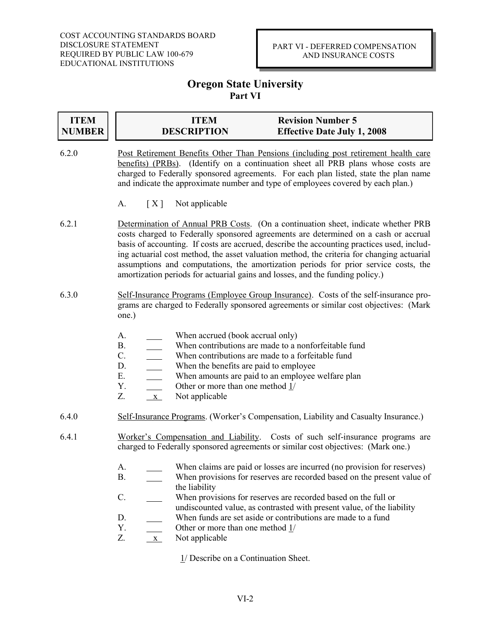### PART VI - DEFERRED COMPENSATION AND INSURANCE COSTS

# **Oregon State University Part VI**

| <b>ITEM</b><br><b>NUMBER</b> | <b>ITEM</b><br><b>DESCRIPTION</b>                                                                                                                                                                                                                                                                                                                                                                                                                                                                                                            | <b>Revision Number 5</b><br><b>Effective Date July 1, 2008</b>                                                                                                                                                                                                                                                                                                 |  |
|------------------------------|----------------------------------------------------------------------------------------------------------------------------------------------------------------------------------------------------------------------------------------------------------------------------------------------------------------------------------------------------------------------------------------------------------------------------------------------------------------------------------------------------------------------------------------------|----------------------------------------------------------------------------------------------------------------------------------------------------------------------------------------------------------------------------------------------------------------------------------------------------------------------------------------------------------------|--|
| 6.2.0                        | Post Retirement Benefits Other Than Pensions (including post retirement health care<br>benefits) (PRBs). (Identify on a continuation sheet all PRB plans whose costs are<br>charged to Federally sponsored agreements. For each plan listed, state the plan name<br>and indicate the approximate number and type of employees covered by each plan.)                                                                                                                                                                                         |                                                                                                                                                                                                                                                                                                                                                                |  |
|                              | A.<br>Not applicable<br>[X]                                                                                                                                                                                                                                                                                                                                                                                                                                                                                                                  |                                                                                                                                                                                                                                                                                                                                                                |  |
| 6.2.1                        | Determination of Annual PRB Costs. (On a continuation sheet, indicate whether PRB<br>costs charged to Federally sponsored agreements are determined on a cash or accrual<br>basis of accounting. If costs are accrued, describe the accounting practices used, includ-<br>ing actuarial cost method, the asset valuation method, the criteria for changing actuarial<br>assumptions and computations, the amortization periods for prior service costs, the<br>amortization periods for actuarial gains and losses, and the funding policy.) |                                                                                                                                                                                                                                                                                                                                                                |  |
| 6.3.0                        | Self-Insurance Programs (Employee Group Insurance). Costs of the self-insurance pro-<br>grams are charged to Federally sponsored agreements or similar cost objectives: (Mark<br>one.)                                                                                                                                                                                                                                                                                                                                                       |                                                                                                                                                                                                                                                                                                                                                                |  |
|                              | When accrued (book accrual only)<br>A.<br>When contributions are made to a nonforfeitable fund<br><b>B.</b><br>$C$ .<br>When contributions are made to a forfeitable fund<br>When the benefits are paid to employee<br>D.<br>$\overline{\phantom{0}}$<br>Ε.<br>When amounts are paid to an employee welfare plan<br>$\overline{\phantom{a}}$<br>$Y_{\cdot}$<br>Other or more than one method $1/$<br>Not applicable<br>Z.<br>$X_{-}$                                                                                                         |                                                                                                                                                                                                                                                                                                                                                                |  |
| 6.4.0                        | Self-Insurance Programs. (Worker's Compensation, Liability and Casualty Insurance.)                                                                                                                                                                                                                                                                                                                                                                                                                                                          |                                                                                                                                                                                                                                                                                                                                                                |  |
| 6.4.1                        | Worker's Compensation and Liability. Costs of such self-insurance programs are<br>charged to Federally sponsored agreements or similar cost objectives: (Mark one.)                                                                                                                                                                                                                                                                                                                                                                          |                                                                                                                                                                                                                                                                                                                                                                |  |
|                              | A.<br><b>B.</b><br>the liability<br>$C$ .<br>D.<br>Y.<br>Other or more than one method $1/$<br>Z.<br>Not applicable<br>$X_{-}$<br>1/ Describe on a Continuation Sheet.                                                                                                                                                                                                                                                                                                                                                                       | When claims are paid or losses are incurred (no provision for reserves)<br>When provisions for reserves are recorded based on the present value of<br>When provisions for reserves are recorded based on the full or<br>undiscounted value, as contrasted with present value, of the liability<br>When funds are set aside or contributions are made to a fund |  |
|                              |                                                                                                                                                                                                                                                                                                                                                                                                                                                                                                                                              |                                                                                                                                                                                                                                                                                                                                                                |  |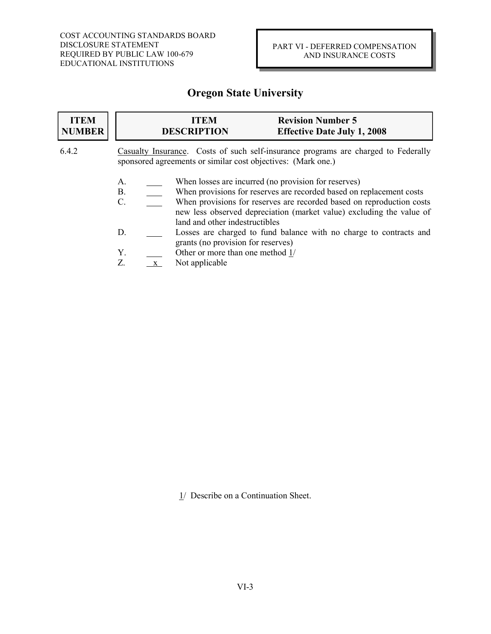| <b>ITEM</b><br><b>NUMBER</b> | <b>Revision Number 5</b><br><b>ITEM</b><br><b>DESCRIPTION</b><br><b>Effective Date July 1, 2008</b>                                                                                                                                                                                                                                      |
|------------------------------|------------------------------------------------------------------------------------------------------------------------------------------------------------------------------------------------------------------------------------------------------------------------------------------------------------------------------------------|
| 6.4.2                        | Casualty Insurance. Costs of such self-insurance programs are charged to Federally<br>sponsored agreements or similar cost objectives: (Mark one.)                                                                                                                                                                                       |
|                              | When losses are incurred (no provision for reserves)<br>A.<br>When provisions for reserves are recorded based on replacement costs<br><b>B.</b><br>When provisions for reserves are recorded based on reproduction costs<br>C.<br>new less observed depreciation (market value) excluding the value of<br>land and other indestructibles |
|                              | Losses are charged to fund balance with no charge to contracts and<br>D.<br>grants (no provision for reserves)                                                                                                                                                                                                                           |
|                              | Other or more than one method 1/<br>Υ.<br>Z.<br>Not applicable<br>$\mathbf{X}$                                                                                                                                                                                                                                                           |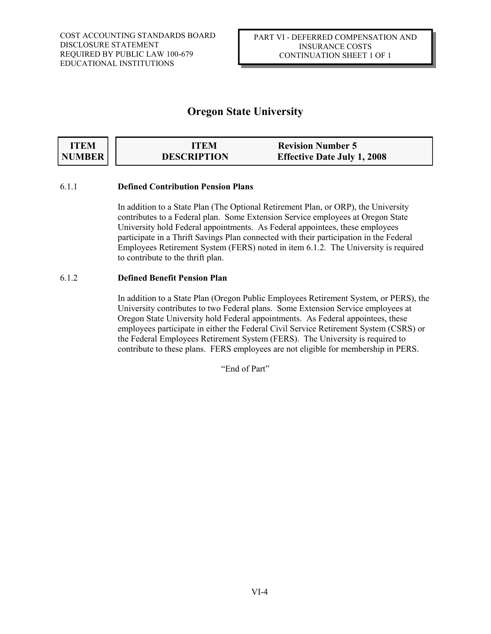| <b>ITEM</b> | ITEM               | <b>Revision Number 5</b>           |
|-------------|--------------------|------------------------------------|
| NUMBER      | <b>DESCRIPTION</b> | <b>Effective Date July 1, 2008</b> |

### 6.1.1 **Defined Contribution Pension Plans**

In addition to a State Plan (The Optional Retirement Plan, or ORP), the University contributes to a Federal plan. Some Extension Service employees at Oregon State University hold Federal appointments. As Federal appointees, these employees participate in a Thrift Savings Plan connected with their participation in the Federal Employees Retirement System (FERS) noted in item 6.1.2. The University is required to contribute to the thrift plan.

### 6.1.2 **Defined Benefit Pension Plan**

In addition to a State Plan (Oregon Public Employees Retirement System, or PERS), the University contributes to two Federal plans. Some Extension Service employees at Oregon State University hold Federal appointments. As Federal appointees, these employees participate in either the Federal Civil Service Retirement System (CSRS) or the Federal Employees Retirement System (FERS). The University is required to contribute to these plans. FERS employees are not eligible for membership in PERS.

"End of Part"